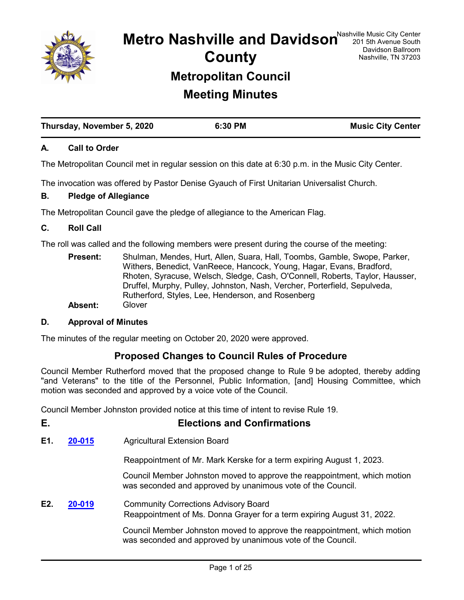

**Metro Nashville and Davidson** Mashville Music City Center **County Metropolitan Council**

# **Meeting Minutes**

| Thursday, November 5, 2020 | 6:30 PM | <b>Music City Center</b> |
|----------------------------|---------|--------------------------|

### **A. Call to Order**

The Metropolitan Council met in regular session on this date at 6:30 p.m. in the Music City Center.

The invocation was offered by Pastor Denise Gyauch of First Unitarian Universalist Church.

### **B. Pledge of Allegiance**

The Metropolitan Council gave the pledge of allegiance to the American Flag.

### **C. Roll Call**

The roll was called and the following members were present during the course of the meeting:

Shulman, Mendes, Hurt, Allen, Suara, Hall, Toombs, Gamble, Swope, Parker, Withers, Benedict, VanReece, Hancock, Young, Hagar, Evans, Bradford, Rhoten, Syracuse, Welsch, Sledge, Cash, O'Connell, Roberts, Taylor, Hausser, Druffel, Murphy, Pulley, Johnston, Nash, Vercher, Porterfield, Sepulveda, Rutherford, Styles, Lee, Henderson, and Rosenberg **Present: Absent:** Glover

### **D. Approval of Minutes**

The minutes of the regular meeting on October 20, 2020 were approved.

# **Proposed Changes to Council Rules of Procedure**

Council Member Rutherford moved that the proposed change to Rule 9 be adopted, thereby adding "and Veterans" to the title of the Personnel, Public Information, [and] Housing Committee, which motion was seconded and approved by a voice vote of the Council.

Council Member Johnston provided notice at this time of intent to revise Rule 19.

| Е.  |        | <b>Elections and Confirmations</b>                                                                                                      |
|-----|--------|-----------------------------------------------------------------------------------------------------------------------------------------|
| E1. | 20-015 | <b>Agricultural Extension Board</b>                                                                                                     |
|     |        | Reappointment of Mr. Mark Kerske for a term expiring August 1, 2023.                                                                    |
|     |        | Council Member Johnston moved to approve the reappointment, which motion<br>was seconded and approved by unanimous vote of the Council. |
| E2. | 20-019 | <b>Community Corrections Advisory Board</b><br>Reappointment of Ms. Donna Grayer for a term expiring August 31, 2022.                   |
|     |        | Council Member Johnston moved to approve the reappointment, which motion<br>was seconded and approved by unanimous vote of the Council. |
|     |        |                                                                                                                                         |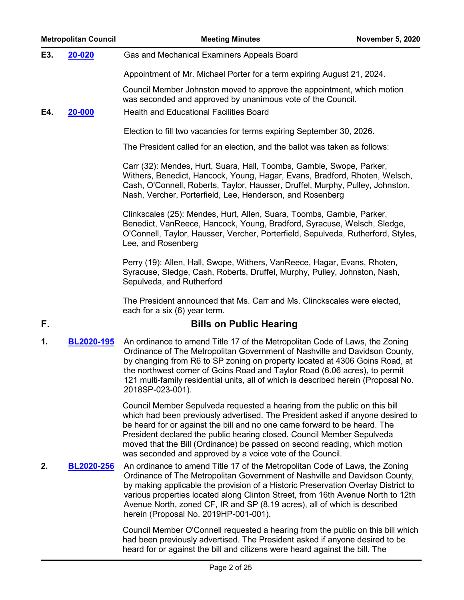| <b>Metropolitan Council</b> |                   | <b>Meeting Minutes</b>                                                                                                                                                                                                                                                                           | <b>November 5, 2020</b> |
|-----------------------------|-------------------|--------------------------------------------------------------------------------------------------------------------------------------------------------------------------------------------------------------------------------------------------------------------------------------------------|-------------------------|
| E3.<br>20-020               |                   | Gas and Mechanical Examiners Appeals Board                                                                                                                                                                                                                                                       |                         |
|                             |                   | Appointment of Mr. Michael Porter for a term expiring August 21, 2024.                                                                                                                                                                                                                           |                         |
|                             |                   | Council Member Johnston moved to approve the appointment, which motion<br>was seconded and approved by unanimous vote of the Council.                                                                                                                                                            |                         |
| E4.                         | 20-000            | <b>Health and Educational Facilities Board</b>                                                                                                                                                                                                                                                   |                         |
|                             |                   | Election to fill two vacancies for terms expiring September 30, 2026.                                                                                                                                                                                                                            |                         |
|                             |                   | The President called for an election, and the ballot was taken as follows:                                                                                                                                                                                                                       |                         |
|                             |                   | Carr (32): Mendes, Hurt, Suara, Hall, Toombs, Gamble, Swope, Parker,<br>Withers, Benedict, Hancock, Young, Hagar, Evans, Bradford, Rhoten, Welsch,<br>Cash, O'Connell, Roberts, Taylor, Hausser, Druffel, Murphy, Pulley, Johnston,<br>Nash, Vercher, Porterfield, Lee, Henderson, and Rosenberg |                         |
|                             |                   | Clinkscales (25): Mendes, Hurt, Allen, Suara, Toombs, Gamble, Parker,<br>Benedict, VanReece, Hancock, Young, Bradford, Syracuse, Welsch, Sledge,<br>O'Connell, Taylor, Hausser, Vercher, Porterfield, Sepulveda, Rutherford, Styles,<br>Lee, and Rosenberg                                       |                         |
|                             |                   | Perry (19): Allen, Hall, Swope, Withers, VanReece, Hagar, Evans, Rhoten,<br>Syracuse, Sledge, Cash, Roberts, Druffel, Murphy, Pulley, Johnston, Nash,<br>Sepulveda, and Rutherford                                                                                                               |                         |
|                             |                   | The President announced that Ms. Carr and Ms. Clinckscales were elected,<br>each for a six (6) year term.                                                                                                                                                                                        |                         |
| F.                          |                   | <b>Bills on Public Hearing</b>                                                                                                                                                                                                                                                                   |                         |
| 1.                          | <b>BL2020-195</b> | An ordinance to amend Title 17 of the Metropolitan Code of Laws, the Zoning<br>Ordinance of The Metropolitan Government of Nashville and Davidson County,<br>by changing from R6 to SP zoning on property located at 4306 Goins Road, at                                                         |                         |

the northwest corner of Goins Road and Taylor Road (6.06 acres), to permit 121 multi-family residential units, all of which is described herein (Proposal No. 2018SP-023-001).

Council Member Sepulveda requested a hearing from the public on this bill which had been previously advertised. The President asked if anyone desired to be heard for or against the bill and no one came forward to be heard. The President declared the public hearing closed. Council Member Sepulveda moved that the Bill (Ordinance) be passed on second reading, which motion was seconded and approved by a voice vote of the Council.

**2. BL2020-256** An ordinance to amend Title 17 of the Metropolitan Code of Laws, the Zoning Ordinance of The Metropolitan Government of Nashville and Davidson County, by making applicable the provision of a Historic Preservation Overlay District to various properties located along Clinton Street, from 16th Avenue North to 12th Avenue North, zoned CF, IR and SP (8.19 acres), all of which is described herein (Proposal No. 2019HP-001-001). **[BL2020-256](http://nashville.legistar.com/gateway.aspx?m=l&id=/matter.aspx?key=1243)**

> Council Member O'Connell requested a hearing from the public on this bill which had been previously advertised. The President asked if anyone desired to be heard for or against the bill and citizens were heard against the bill. The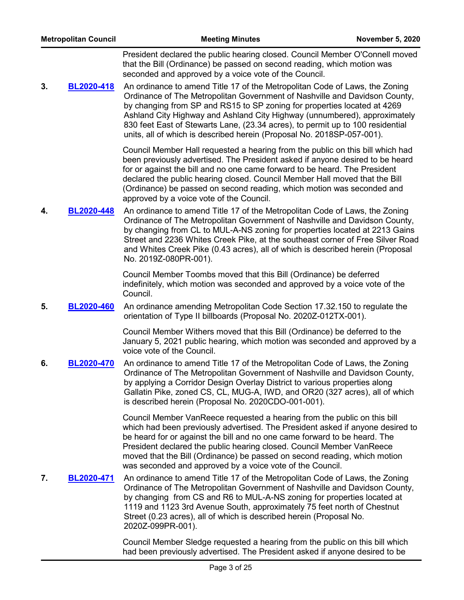President declared the public hearing closed. Council Member O'Connell moved that the Bill (Ordinance) be passed on second reading, which motion was seconded and approved by a voice vote of the Council.

**3. BL2020-418** An ordinance to amend Title 17 of the Metropolitan Code of Laws, the Zoning Ordinance of The Metropolitan Government of Nashville and Davidson County, by changing from SP and RS15 to SP zoning for properties located at 4269 Ashland City Highway and Ashland City Highway (unnumbered), approximately 830 feet East of Stewarts Lane, (23.34 acres), to permit up to 100 residential units, all of which is described herein (Proposal No. 2018SP-057-001). **[BL2020-418](http://nashville.legistar.com/gateway.aspx?m=l&id=/matter.aspx?key=1240)**

> Council Member Hall requested a hearing from the public on this bill which had been previously advertised. The President asked if anyone desired to be heard for or against the bill and no one came forward to be heard. The President declared the public hearing closed. Council Member Hall moved that the Bill (Ordinance) be passed on second reading, which motion was seconded and approved by a voice vote of the Council.

**4. BL2020-448** An ordinance to amend Title 17 of the Metropolitan Code of Laws, the Zoning Ordinance of The Metropolitan Government of Nashville and Davidson County, by changing from CL to MUL-A-NS zoning for properties located at 2213 Gains Street and 2236 Whites Creek Pike, at the southeast corner of Free Silver Road and Whites Creek Pike (0.43 acres), all of which is described herein (Proposal No. 2019Z-080PR-001). **[BL2020-448](http://nashville.legistar.com/gateway.aspx?m=l&id=/matter.aspx?key=1297)**

> Council Member Toombs moved that this Bill (Ordinance) be deferred indefinitely, which motion was seconded and approved by a voice vote of the Council.

**5. BL2020-460** An ordinance amending Metropolitan Code Section 17.32.150 to regulate the orientation of Type II billboards (Proposal No. 2020Z-012TX-001). **[BL2020-460](http://nashville.legistar.com/gateway.aspx?m=l&id=/matter.aspx?key=1418)**

> Council Member Withers moved that this Bill (Ordinance) be deferred to the January 5, 2021 public hearing, which motion was seconded and approved by a voice vote of the Council.

**6. BL2020-470** An ordinance to amend Title 17 of the Metropolitan Code of Laws, the Zoning Ordinance of The Metropolitan Government of Nashville and Davidson County, by applying a Corridor Design Overlay District to various properties along Gallatin Pike, zoned CS, CL, MUG-A, IWD, and OR20 (327 acres), all of which is described herein (Proposal No. 2020CDO-001-001). **[BL2020-470](http://nashville.legistar.com/gateway.aspx?m=l&id=/matter.aspx?key=1367)**

> Council Member VanReece requested a hearing from the public on this bill which had been previously advertised. The President asked if anyone desired to be heard for or against the bill and no one came forward to be heard. The President declared the public hearing closed. Council Member VanReece moved that the Bill (Ordinance) be passed on second reading, which motion was seconded and approved by a voice vote of the Council.

**7. BL2020-471** An ordinance to amend Title 17 of the Metropolitan Code of Laws, the Zoning Ordinance of The Metropolitan Government of Nashville and Davidson County, by changing from CS and R6 to MUL-A-NS zoning for properties located at 1119 and 1123 3rd Avenue South, approximately 75 feet north of Chestnut Street (0.23 acres), all of which is described herein (Proposal No. 2020Z-099PR-001). **[BL2020-471](http://nashville.legistar.com/gateway.aspx?m=l&id=/matter.aspx?key=1345)**

> Council Member Sledge requested a hearing from the public on this bill which had been previously advertised. The President asked if anyone desired to be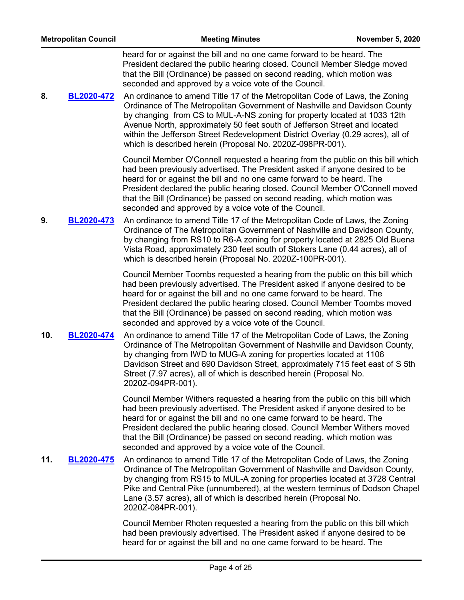heard for or against the bill and no one came forward to be heard. The President declared the public hearing closed. Council Member Sledge moved that the Bill (Ordinance) be passed on second reading, which motion was seconded and approved by a voice vote of the Council.

**8. BL2020-472** An ordinance to amend Title 17 of the Metropolitan Code of Laws, the Zoning Ordinance of The Metropolitan Government of Nashville and Davidson County by changing from CS to MUL-A-NS zoning for property located at 1033 12th Avenue North, approximately 50 feet south of Jefferson Street and located within the Jefferson Street Redevelopment District Overlay (0.29 acres), all of which is described herein (Proposal No. 2020Z-098PR-001). **[BL2020-472](http://nashville.legistar.com/gateway.aspx?m=l&id=/matter.aspx?key=1366)**

> Council Member O'Connell requested a hearing from the public on this bill which had been previously advertised. The President asked if anyone desired to be heard for or against the bill and no one came forward to be heard. The President declared the public hearing closed. Council Member O'Connell moved that the Bill (Ordinance) be passed on second reading, which motion was seconded and approved by a voice vote of the Council.

**9. BL2020-473** An ordinance to amend Title 17 of the Metropolitan Code of Laws, the Zoning Ordinance of The Metropolitan Government of Nashville and Davidson County, by changing from RS10 to R6-A zoning for property located at 2825 Old Buena Vista Road, approximately 230 feet south of Stokers Lane (0.44 acres), all of which is described herein (Proposal No. 2020Z-100PR-001). **[BL2020-473](http://nashville.legistar.com/gateway.aspx?m=l&id=/matter.aspx?key=1348)**

> Council Member Toombs requested a hearing from the public on this bill which had been previously advertised. The President asked if anyone desired to be heard for or against the bill and no one came forward to be heard. The President declared the public hearing closed. Council Member Toombs moved that the Bill (Ordinance) be passed on second reading, which motion was seconded and approved by a voice vote of the Council.

**10.** BL2020-474 An ordinance to amend Title 17 of the Metropolitan Code of Laws, the Zoning Ordinance of The Metropolitan Government of Nashville and Davidson County, by changing from IWD to MUG-A zoning for properties located at 1106 Davidson Street and 690 Davidson Street, approximately 715 feet east of S 5th Street (7.97 acres), all of which is described herein (Proposal No. 2020Z-094PR-001). **[BL2020-474](http://nashville.legistar.com/gateway.aspx?m=l&id=/matter.aspx?key=1364)**

> Council Member Withers requested a hearing from the public on this bill which had been previously advertised. The President asked if anyone desired to be heard for or against the bill and no one came forward to be heard. The President declared the public hearing closed. Council Member Withers moved that the Bill (Ordinance) be passed on second reading, which motion was seconded and approved by a voice vote of the Council.

**11.** BL2020-475 An ordinance to amend Title 17 of the Metropolitan Code of Laws, the Zoning Ordinance of The Metropolitan Government of Nashville and Davidson County, by changing from RS15 to MUL-A zoning for properties located at 3728 Central Pike and Central Pike (unnumbered), at the western terminus of Dodson Chapel Lane (3.57 acres), all of which is described herein (Proposal No. 2020Z-084PR-001). **[BL2020-475](http://nashville.legistar.com/gateway.aspx?m=l&id=/matter.aspx?key=1360)**

> Council Member Rhoten requested a hearing from the public on this bill which had been previously advertised. The President asked if anyone desired to be heard for or against the bill and no one came forward to be heard. The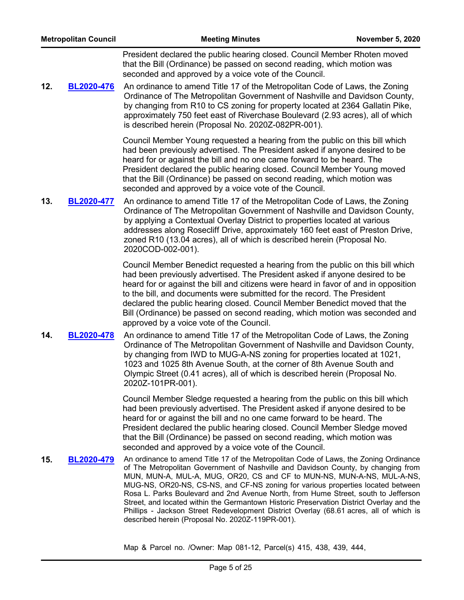President declared the public hearing closed. Council Member Rhoten moved that the Bill (Ordinance) be passed on second reading, which motion was seconded and approved by a voice vote of the Council.

**12. BL2020-476** An ordinance to amend Title 17 of the Metropolitan Code of Laws, the Zoning Ordinance of The Metropolitan Government of Nashville and Davidson County, by changing from R10 to CS zoning for property located at 2364 Gallatin Pike, approximately 750 feet east of Riverchase Boulevard (2.93 acres), all of which is described herein (Proposal No. 2020Z-082PR-001). **[BL2020-476](http://nashville.legistar.com/gateway.aspx?m=l&id=/matter.aspx?key=1362)**

> Council Member Young requested a hearing from the public on this bill which had been previously advertised. The President asked if anyone desired to be heard for or against the bill and no one came forward to be heard. The President declared the public hearing closed. Council Member Young moved that the Bill (Ordinance) be passed on second reading, which motion was seconded and approved by a voice vote of the Council.

**13. BL2020-477** An ordinance to amend Title 17 of the Metropolitan Code of Laws, the Zoning Ordinance of The Metropolitan Government of Nashville and Davidson County, by applying a Contextual Overlay District to properties located at various addresses along Rosecliff Drive, approximately 160 feet east of Preston Drive, zoned R10 (13.04 acres), all of which is described herein (Proposal No. 2020COD-002-001). **[BL2020-477](http://nashville.legistar.com/gateway.aspx?m=l&id=/matter.aspx?key=1369)**

> Council Member Benedict requested a hearing from the public on this bill which had been previously advertised. The President asked if anyone desired to be heard for or against the bill and citizens were heard in favor of and in opposition to the bill, and documents were submitted for the record. The President declared the public hearing closed. Council Member Benedict moved that the Bill (Ordinance) be passed on second reading, which motion was seconded and approved by a voice vote of the Council.

**14. BL2020-478** An ordinance to amend Title 17 of the Metropolitan Code of Laws, the Zoning Ordinance of The Metropolitan Government of Nashville and Davidson County, by changing from IWD to MUG-A-NS zoning for properties located at 1021, 1023 and 1025 8th Avenue South, at the corner of 8th Avenue South and Olympic Street (0.41 acres), all of which is described herein (Proposal No. 2020Z-101PR-001). **[BL2020-478](http://nashville.legistar.com/gateway.aspx?m=l&id=/matter.aspx?key=1350)**

> Council Member Sledge requested a hearing from the public on this bill which had been previously advertised. The President asked if anyone desired to be heard for or against the bill and no one came forward to be heard. The President declared the public hearing closed. Council Member Sledge moved that the Bill (Ordinance) be passed on second reading, which motion was seconded and approved by a voice vote of the Council.

**15. BL2020-479** An ordinance to amend Title 17 of the Metropolitan Code of Laws, the Zoning Ordinance of The Metropolitan Government of Nashville and Davidson County, by changing from MUN, MUN-A, MUL-A, MUG, OR20, CS and CF to MUN-NS, MUN-A-NS, MUL-A-NS, MUG-NS, OR20-NS, CS-NS, and CF-NS zoning for various properties located between Rosa L. Parks Boulevard and 2nd Avenue North, from Hume Street, south to Jefferson Street, and located within the Germantown Historic Preservation District Overlay and the Phillips - Jackson Street Redevelopment District Overlay (68.61 acres, all of which is described herein (Proposal No. 2020Z-119PR-001). **[BL2020-479](http://nashville.legistar.com/gateway.aspx?m=l&id=/matter.aspx?key=1372)**

Map & Parcel no. /Owner: Map 081-12, Parcel(s) 415, 438, 439, 444,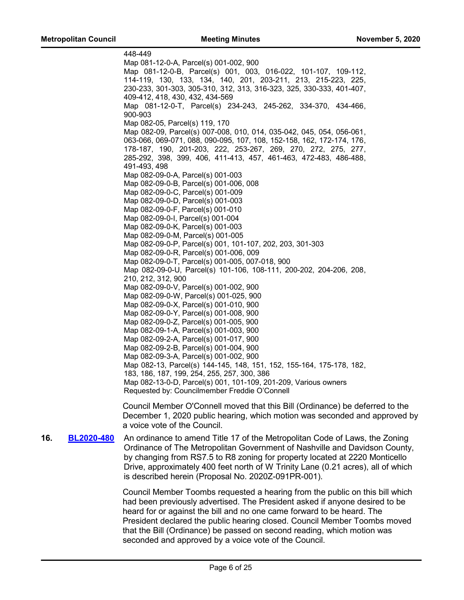448-449 Map 081-12-0-A, Parcel(s) 001-002, 900 Map 081-12-0-B, Parcel(s) 001, 003, 016-022, 101-107, 109-112, 114-119, 130, 133, 134, 140, 201, 203-211, 213, 215-223, 225, 230-233, 301-303, 305-310, 312, 313, 316-323, 325, 330-333, 401-407, 409-412, 418, 430, 432, 434-569 Map 081-12-0-T, Parcel(s) 234-243, 245-262, 334-370, 434-466, 900-903 Map 082-05, Parcel(s) 119, 170 Map 082-09, Parcel(s) 007-008, 010, 014, 035-042, 045, 054, 056-061, 063-066, 069-071, 088, 090-095, 107, 108, 152-158, 162, 172-174, 176, 178-187, 190, 201-203, 222, 253-267, 269, 270, 272, 275, 277, 285-292, 398, 399, 406, 411-413, 457, 461-463, 472-483, 486-488, 491-493, 498 Map 082-09-0-A, Parcel(s) 001-003 Map 082-09-0-B, Parcel(s) 001-006, 008 Map 082-09-0-C, Parcel(s) 001-009 Map 082-09-0-D, Parcel(s) 001-003 Map 082-09-0-F, Parcel(s) 001-010 Map 082-09-0-I, Parcel(s) 001-004 Map 082-09-0-K, Parcel(s) 001-003 Map 082-09-0-M, Parcel(s) 001-005 Map 082-09-0-P, Parcel(s) 001, 101-107, 202, 203, 301-303 Map 082-09-0-R, Parcel(s) 001-006, 009 Map 082-09-0-T, Parcel(s) 001-005, 007-018, 900 Map 082-09-0-U, Parcel(s) 101-106, 108-111, 200-202, 204-206, 208, 210, 212, 312, 900 Map 082-09-0-V, Parcel(s) 001-002, 900 Map 082-09-0-W, Parcel(s) 001-025, 900 Map 082-09-0-X, Parcel(s) 001-010, 900 Map 082-09-0-Y, Parcel(s) 001-008, 900 Map 082-09-0-Z, Parcel(s) 001-005, 900 Map 082-09-1-A, Parcel(s) 001-003, 900 Map 082-09-2-A, Parcel(s) 001-017, 900 Map 082-09-2-B, Parcel(s) 001-004, 900 Map 082-09-3-A, Parcel(s) 001-002, 900 Map 082-13, Parcel(s) 144-145, 148, 151, 152, 155-164, 175-178, 182, 183, 186, 187, 199, 254, 255, 257, 300, 386 Map 082-13-0-D, Parcel(s) 001, 101-109, 201-209, Various owners Requested by: Councilmember Freddie O'Connell

Council Member O'Connell moved that this Bill (Ordinance) be deferred to the December 1, 2020 public hearing, which motion was seconded and approved by a voice vote of the Council.

**16. BL2020-480** An ordinance to amend Title 17 of the Metropolitan Code of Laws, the Zoning Ordinance of The Metropolitan Government of Nashville and Davidson County, by changing from RS7.5 to R8 zoning for property located at 2220 Monticello Drive, approximately 400 feet north of W Trinity Lane (0.21 acres), all of which is described herein (Proposal No. 2020Z-091PR-001). **[BL2020-480](http://nashville.legistar.com/gateway.aspx?m=l&id=/matter.aspx?key=1363)**

> Council Member Toombs requested a hearing from the public on this bill which had been previously advertised. The President asked if anyone desired to be heard for or against the bill and no one came forward to be heard. The President declared the public hearing closed. Council Member Toombs moved that the Bill (Ordinance) be passed on second reading, which motion was seconded and approved by a voice vote of the Council.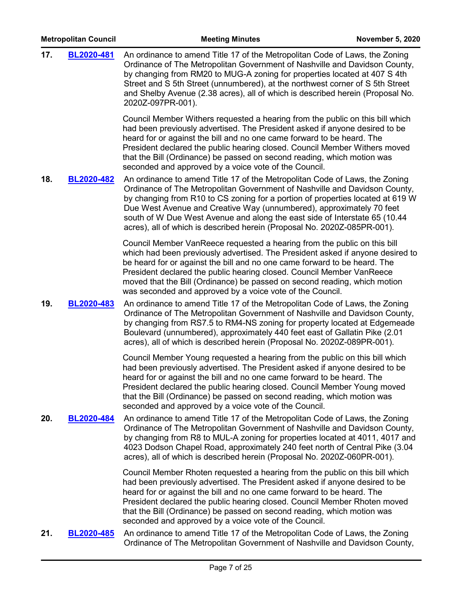|     | <b>Metropolitan Council</b> | <b>Meeting Minutes</b>                                                                                                                                                                                                                                                                                                                                                                                                                                                        | <b>November 5, 2020</b> |
|-----|-----------------------------|-------------------------------------------------------------------------------------------------------------------------------------------------------------------------------------------------------------------------------------------------------------------------------------------------------------------------------------------------------------------------------------------------------------------------------------------------------------------------------|-------------------------|
| 17. | BL2020-481                  | An ordinance to amend Title 17 of the Metropolitan Code of Laws, the Zoning<br>Ordinance of The Metropolitan Government of Nashville and Davidson County,<br>by changing from RM20 to MUG-A zoning for properties located at 407 S 4th<br>Street and S 5th Street (unnumbered), at the northwest corner of S 5th Street<br>and Shelby Avenue (2.38 acres), all of which is described herein (Proposal No.<br>2020Z-097PR-001).                                                |                         |
|     |                             | Council Member Withers requested a hearing from the public on this bill which<br>had been previously advertised. The President asked if anyone desired to be<br>heard for or against the bill and no one came forward to be heard. The<br>President declared the public hearing closed. Council Member Withers moved<br>that the Bill (Ordinance) be passed on second reading, which motion was<br>seconded and approved by a voice vote of the Council.                      |                         |
| 18. | <b>BL2020-482</b>           | An ordinance to amend Title 17 of the Metropolitan Code of Laws, the Zoning<br>Ordinance of The Metropolitan Government of Nashville and Davidson County,<br>by changing from R10 to CS zoning for a portion of properties located at 619 W<br>Due West Avenue and Creative Way (unnumbered), approximately 70 feet<br>south of W Due West Avenue and along the east side of Interstate 65 (10.44<br>acres), all of which is described herein (Proposal No. 2020Z-085PR-001). |                         |
|     |                             | Council Member VanReece requested a hearing from the public on this bill<br>which had been previously advertised. The President asked if anyone desired to<br>be heard for or against the bill and no one came forward to be heard. The<br>President declared the public hearing closed. Council Member VanReece<br>moved that the Bill (Ordinance) be passed on second reading, which motion<br>was seconded and approved by a voice vote of the Council.                    |                         |
| 19. | BL2020-483                  | An ordinance to amend Title 17 of the Metropolitan Code of Laws, the Zoning<br>Ordinance of The Metropolitan Government of Nashville and Davidson County,<br>by changing from RS7.5 to RM4-NS zoning for property located at Edgemeade<br>Boulevard (unnumbered), approximately 440 feet east of Gallatin Pike (2.01<br>acres), all of which is described herein (Proposal No. 2020Z-089PR-001).                                                                              |                         |
|     |                             | Council Member Young requested a hearing from the public on this bill which<br>had been previously advertised. The President asked if anyone desired to be<br>heard for or against the bill and no one came forward to be heard. The<br>President declared the public hearing closed. Council Member Young moved<br>that the Bill (Ordinance) be passed on second reading, which motion was<br>seconded and approved by a voice vote of the Council.                          |                         |
| 20. | <b>BL2020-484</b>           | An ordinance to amend Title 17 of the Metropolitan Code of Laws, the Zoning<br>Ordinance of The Metropolitan Government of Nashville and Davidson County,<br>by changing from R8 to MUL-A zoning for properties located at 4011, 4017 and<br>4023 Dodson Chapel Road, approximately 240 feet north of Central Pike (3.04<br>acres), all of which is described herein (Proposal No. 2020Z-060PR-001).                                                                          |                         |
|     |                             | Council Member Rhoten requested a hearing from the public on this bill which<br>had been previously advertised. The President asked if anyone desired to be<br>heard for or against the bill and no one came forward to be heard. The<br>President declared the public hearing closed. Council Member Rhoten moved<br>that the Bill (Ordinance) be passed on second reading, which motion was<br>seconded and approved by a voice vote of the Council.                        |                         |
| 21. | <b>BL2020-485</b>           | An ordinance to amend Title 17 of the Metropolitan Code of Laws, the Zoning<br>Ordinance of The Metropolitan Government of Nashville and Davidson County,                                                                                                                                                                                                                                                                                                                     |                         |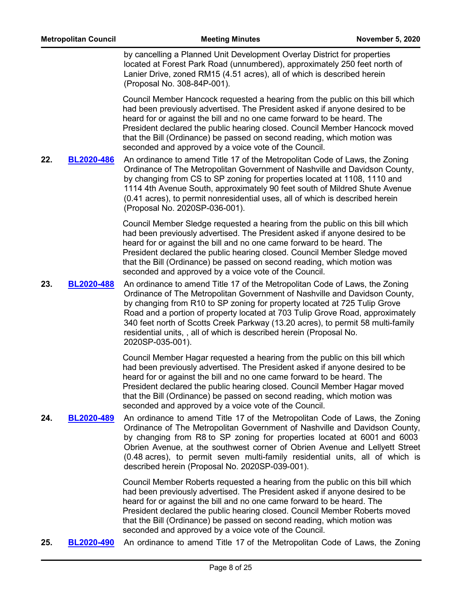by cancelling a Planned Unit Development Overlay District for properties located at Forest Park Road (unnumbered), approximately 250 feet north of Lanier Drive, zoned RM15 (4.51 acres), all of which is described herein (Proposal No. 308-84P-001).

Council Member Hancock requested a hearing from the public on this bill which had been previously advertised. The President asked if anyone desired to be heard for or against the bill and no one came forward to be heard. The President declared the public hearing closed. Council Member Hancock moved that the Bill (Ordinance) be passed on second reading, which motion was seconded and approved by a voice vote of the Council.

**22. BL2020-486** An ordinance to amend Title 17 of the Metropolitan Code of Laws, the Zoning Ordinance of The Metropolitan Government of Nashville and Davidson County, by changing from CS to SP zoning for properties located at 1108, 1110 and 1114 4th Avenue South, approximately 90 feet south of Mildred Shute Avenue (0.41 acres), to permit nonresidential uses, all of which is described herein (Proposal No. 2020SP-036-001). **[BL2020-486](http://nashville.legistar.com/gateway.aspx?m=l&id=/matter.aspx?key=1356)**

> Council Member Sledge requested a hearing from the public on this bill which had been previously advertised. The President asked if anyone desired to be heard for or against the bill and no one came forward to be heard. The President declared the public hearing closed. Council Member Sledge moved that the Bill (Ordinance) be passed on second reading, which motion was seconded and approved by a voice vote of the Council.

23. BL2020-488 An ordinance to amend Title 17 of the Metropolitan Code of Laws, the Zoning Ordinance of The Metropolitan Government of Nashville and Davidson County, by changing from R10 to SP zoning for property located at 725 Tulip Grove Road and a portion of property located at 703 Tulip Grove Road, approximately 340 feet north of Scotts Creek Parkway (13.20 acres), to permit 58 multi-family residential units, , all of which is described herein (Proposal No. 2020SP-035-001). **[BL2020-488](http://nashville.legistar.com/gateway.aspx?m=l&id=/matter.aspx?key=1342)**

> Council Member Hagar requested a hearing from the public on this bill which had been previously advertised. The President asked if anyone desired to be heard for or against the bill and no one came forward to be heard. The President declared the public hearing closed. Council Member Hagar moved that the Bill (Ordinance) be passed on second reading, which motion was seconded and approved by a voice vote of the Council.

**24. BL2020-489** An ordinance to amend Title 17 of the Metropolitan Code of Laws, the Zoning Ordinance of The Metropolitan Government of Nashville and Davidson County, by changing from R8 to SP zoning for properties located at 6001 and 6003 Obrien Avenue, at the southwest corner of Obrien Avenue and Lellyett Street (0.48 acres), to permit seven multi-family residential units, all of which is described herein (Proposal No. 2020SP-039-001). **[BL2020-489](http://nashville.legistar.com/gateway.aspx?m=l&id=/matter.aspx?key=1343)**

> Council Member Roberts requested a hearing from the public on this bill which had been previously advertised. The President asked if anyone desired to be heard for or against the bill and no one came forward to be heard. The President declared the public hearing closed. Council Member Roberts moved that the Bill (Ordinance) be passed on second reading, which motion was seconded and approved by a voice vote of the Council.

**25. [BL2020-490](http://nashville.legistar.com/gateway.aspx?m=l&id=/matter.aspx?key=1382)** An ordinance to amend Title 17 of the Metropolitan Code of Laws, the Zoning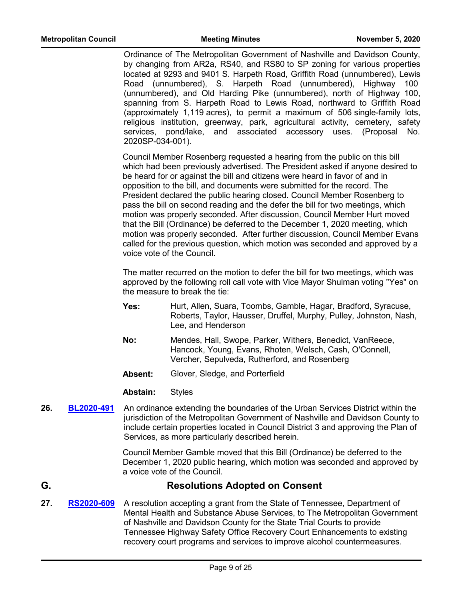Ordinance of The Metropolitan Government of Nashville and Davidson County, by changing from AR2a, RS40, and RS80 to SP zoning for various properties located at 9293 and 9401 S. Harpeth Road, Griffith Road (unnumbered), Lewis Road (unnumbered), S. Harpeth Road (unnumbered), Highway 100 (unnumbered), and Old Harding Pike (unnumbered), north of Highway 100, spanning from S. Harpeth Road to Lewis Road, northward to Griffith Road (approximately 1,119 acres), to permit a maximum of 506 single-family lots, religious institution, greenway, park, agricultural activity, cemetery, safety services, pond/lake, and associated accessory uses. (Proposal No. 2020SP-034-001).

Council Member Rosenberg requested a hearing from the public on this bill which had been previously advertised. The President asked if anyone desired to be heard for or against the bill and citizens were heard in favor of and in opposition to the bill, and documents were submitted for the record. The President declared the public hearing closed. Council Member Rosenberg to pass the bill on second reading and the defer the bill for two meetings, which motion was properly seconded. After discussion, Council Member Hurt moved that the Bill (Ordinance) be deferred to the December 1, 2020 meeting, which motion was properly seconded. After further discussion, Council Member Evans called for the previous question, which motion was seconded and approved by a voice vote of the Council.

The matter recurred on the motion to defer the bill for two meetings, which was approved by the following roll call vote with Vice Mayor Shulman voting "Yes" on the measure to break the tie:

- Hurt, Allen, Suara, Toombs, Gamble, Hagar, Bradford, Syracuse, Roberts, Taylor, Hausser, Druffel, Murphy, Pulley, Johnston, Nash, Lee, and Henderson **Yes:**
- Mendes, Hall, Swope, Parker, Withers, Benedict, VanReece, Hancock, Young, Evans, Rhoten, Welsch, Cash, O'Connell, Vercher, Sepulveda, Rutherford, and Rosenberg **No:**
- **Absent:** Glover, Sledge, and Porterfield
- **Abstain:** Styles
- **26.** BL2020-491 An ordinance extending the boundaries of the Urban Services District within the jurisdiction of the Metropolitan Government of Nashville and Davidson County to include certain properties located in Council District 3 and approving the Plan of Services, as more particularly described herein. **[BL2020-491](http://nashville.legistar.com/gateway.aspx?m=l&id=/matter.aspx?key=1497)**

Council Member Gamble moved that this Bill (Ordinance) be deferred to the December 1, 2020 public hearing, which motion was seconded and approved by a voice vote of the Council.

# **G. Resolutions Adopted on Consent**

**27. RS2020-609** A resolution accepting a grant from the State of Tennessee, Department of Mental Health and Substance Abuse Services, to The Metropolitan Government of Nashville and Davidson County for the State Trial Courts to provide Tennessee Highway Safety Office Recovery Court Enhancements to existing recovery court programs and services to improve alcohol countermeasures. **[RS2020-609](http://nashville.legistar.com/gateway.aspx?m=l&id=/matter.aspx?key=1522)**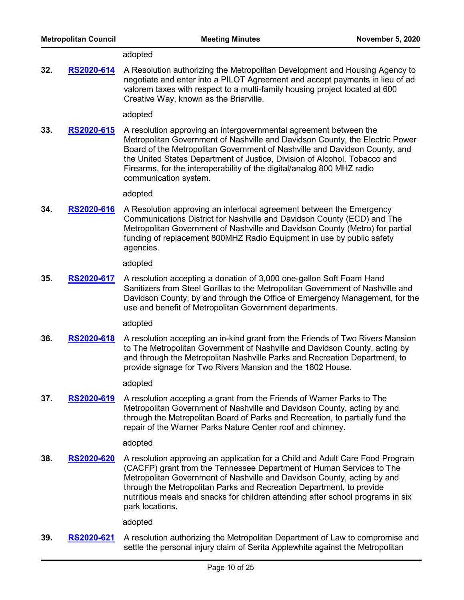### adopted

**32. RS2020-614** A Resolution authorizing the Metropolitan Development and Housing Agency to negotiate and enter into a PILOT Agreement and accept payments in lieu of ad valorem taxes with respect to a multi-family housing project located at 600 Creative Way, known as the Briarville. **[RS2020-614](http://nashville.legistar.com/gateway.aspx?m=l&id=/matter.aspx?key=1560)**

### adopted

**33.** RS2020-615 A resolution approving an intergovernmental agreement between the Metropolitan Government of Nashville and Davidson County, the Electric Power Board of the Metropolitan Government of Nashville and Davidson County, and the United States Department of Justice, Division of Alcohol, Tobacco and Firearms, for the interoperability of the digital/analog 800 MHZ radio communication system. **[RS2020-615](http://nashville.legistar.com/gateway.aspx?m=l&id=/matter.aspx?key=1532)**

### adopted

**34. RS2020-616** A Resolution approving an interlocal agreement between the Emergency Communications District for Nashville and Davidson County (ECD) and The Metropolitan Government of Nashville and Davidson County (Metro) for partial funding of replacement 800MHZ Radio Equipment in use by public safety agencies. **[RS2020-616](http://nashville.legistar.com/gateway.aspx?m=l&id=/matter.aspx?key=1533)**

adopted

**35.** RS2020-617 A resolution accepting a donation of 3,000 one-gallon Soft Foam Hand Sanitizers from Steel Gorillas to the Metropolitan Government of Nashville and Davidson County, by and through the Office of Emergency Management, for the use and benefit of Metropolitan Government departments. **[RS2020-617](http://nashville.legistar.com/gateway.aspx?m=l&id=/matter.aspx?key=1544)**

adopted

**36.** RS2020-618 A resolution accepting an in-kind grant from the Friends of Two Rivers Mansion to The Metropolitan Government of Nashville and Davidson County, acting by and through the Metropolitan Nashville Parks and Recreation Department, to provide signage for Two Rivers Mansion and the 1802 House. **[RS2020-618](http://nashville.legistar.com/gateway.aspx?m=l&id=/matter.aspx?key=1543)**

adopted

**37. RS2020-619** A resolution accepting a grant from the Friends of Warner Parks to The Metropolitan Government of Nashville and Davidson County, acting by and through the Metropolitan Board of Parks and Recreation, to partially fund the repair of the Warner Parks Nature Center roof and chimney. **[RS2020-619](http://nashville.legistar.com/gateway.aspx?m=l&id=/matter.aspx?key=1545)**

### adopted

**38.** RS2020-620 A resolution approving an application for a Child and Adult Care Food Program (CACFP) grant from the Tennessee Department of Human Services to The Metropolitan Government of Nashville and Davidson County, acting by and through the Metropolitan Parks and Recreation Department, to provide nutritious meals and snacks for children attending after school programs in six park locations. **[RS2020-620](http://nashville.legistar.com/gateway.aspx?m=l&id=/matter.aspx?key=1540)**

adopted

**39.** RS2020-621 A resolution authorizing the Metropolitan Department of Law to compromise and settle the personal injury claim of Serita Applewhite against the Metropolitan **[RS2020-621](http://nashville.legistar.com/gateway.aspx?m=l&id=/matter.aspx?key=1553)**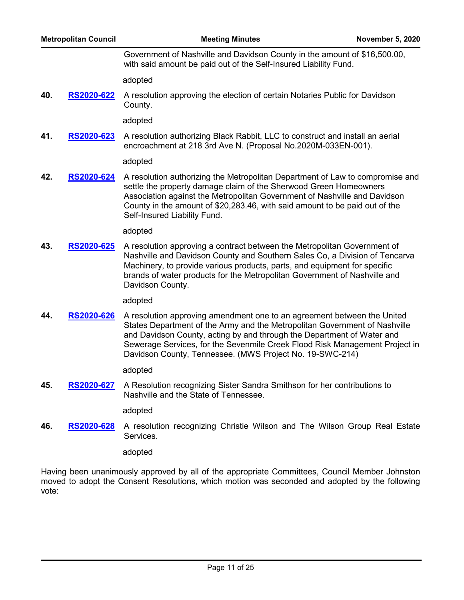Government of Nashville and Davidson County in the amount of \$16,500.00, with said amount be paid out of the Self-Insured Liability Fund.

adopted

**40.** RS2020-622 A resolution approving the election of certain Notaries Public for Davidson County. **[RS2020-622](http://nashville.legistar.com/gateway.aspx?m=l&id=/matter.aspx?key=1564)**

adopted

**41. RS2020-623** A resolution authorizing Black Rabbit, LLC to construct and install an aerial encroachment at 218 3rd Ave N. (Proposal No.2020M-033EN-001). **[RS2020-623](http://nashville.legistar.com/gateway.aspx?m=l&id=/matter.aspx?key=1531)**

adopted

**42. RS2020-624** A resolution authorizing the Metropolitan Department of Law to compromise and settle the property damage claim of the Sherwood Green Homeowners Association against the Metropolitan Government of Nashville and Davidson County in the amount of \$20,283.46, with said amount to be paid out of the Self-Insured Liability Fund. **[RS2020-624](http://nashville.legistar.com/gateway.aspx?m=l&id=/matter.aspx?key=1554)**

### adopted

**43. RS2020-625** A resolution approving a contract between the Metropolitan Government of Nashville and Davidson County and Southern Sales Co, a Division of Tencarva Machinery, to provide various products, parts, and equipment for specific brands of water products for the Metropolitan Government of Nashville and Davidson County. **[RS2020-625](http://nashville.legistar.com/gateway.aspx?m=l&id=/matter.aspx?key=1534)**

adopted

**44.** RS2020-626 A resolution approving amendment one to an agreement between the United States Department of the Army and the Metropolitan Government of Nashville and Davidson County, acting by and through the Department of Water and Sewerage Services, for the Sevenmile Creek Flood Risk Management Project in Davidson County, Tennessee. (MWS Project No. 19-SWC-214) **[RS2020-626](http://nashville.legistar.com/gateway.aspx?m=l&id=/matter.aspx?key=1539)**

adopted

**45.** A Resolution recognizing Sister Sandra Smithson for her contributions to Nashville and the State of Tennessee. **[RS2020-627](http://nashville.legistar.com/gateway.aspx?m=l&id=/matter.aspx?key=1562)**

adopted

**46. RS2020-628** A resolution recognizing Christie Wilson and The Wilson Group Real Estate Services. **[RS2020-628](http://nashville.legistar.com/gateway.aspx?m=l&id=/matter.aspx?key=1556)**

adopted

Having been unanimously approved by all of the appropriate Committees, Council Member Johnston moved to adopt the Consent Resolutions, which motion was seconded and adopted by the following vote: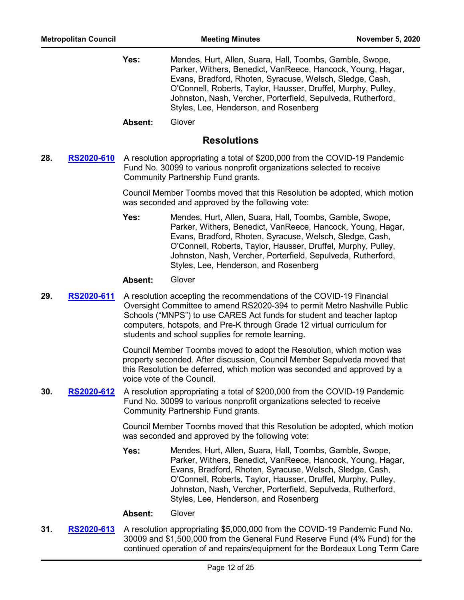Mendes, Hurt, Allen, Suara, Hall, Toombs, Gamble, Swope, Parker, Withers, Benedict, VanReece, Hancock, Young, Hagar, Evans, Bradford, Rhoten, Syracuse, Welsch, Sledge, Cash, O'Connell, Roberts, Taylor, Hausser, Druffel, Murphy, Pulley, Johnston, Nash, Vercher, Porterfield, Sepulveda, Rutherford, Styles, Lee, Henderson, and Rosenberg **Yes:**

**Absent:** Glover

### **Resolutions**

**28.** RS2020-610 A resolution appropriating a total of \$200,000 from the COVID-19 Pandemic Fund No. 30099 to various nonprofit organizations selected to receive Community Partnership Fund grants. **[RS2020-610](http://nashville.legistar.com/gateway.aspx?m=l&id=/matter.aspx?key=1536)**

> Council Member Toombs moved that this Resolution be adopted, which motion was seconded and approved by the following vote:

Mendes, Hurt, Allen, Suara, Hall, Toombs, Gamble, Swope, Parker, Withers, Benedict, VanReece, Hancock, Young, Hagar, Evans, Bradford, Rhoten, Syracuse, Welsch, Sledge, Cash, O'Connell, Roberts, Taylor, Hausser, Druffel, Murphy, Pulley, Johnston, Nash, Vercher, Porterfield, Sepulveda, Rutherford, Styles, Lee, Henderson, and Rosenberg **Yes:**

### **Absent:** Glover

**29.** RS2020-611 A resolution accepting the recommendations of the COVID-19 Financial Oversight Committee to amend RS2020-394 to permit Metro Nashville Public Schools ("MNPS") to use CARES Act funds for student and teacher laptop computers, hotspots, and Pre-K through Grade 12 virtual curriculum for students and school supplies for remote learning. **[RS2020-611](http://nashville.legistar.com/gateway.aspx?m=l&id=/matter.aspx?key=1550)**

> Council Member Toombs moved to adopt the Resolution, which motion was property seconded. After discussion, Council Member Sepulveda moved that this Resolution be deferred, which motion was seconded and approved by a voice vote of the Council.

**30. RS2020-612** A resolution appropriating a total of \$200,000 from the COVID-19 Pandemic Fund No. 30099 to various nonprofit organizations selected to receive Community Partnership Fund grants. **[RS2020-612](http://nashville.legistar.com/gateway.aspx?m=l&id=/matter.aspx?key=1535)**

> Council Member Toombs moved that this Resolution be adopted, which motion was seconded and approved by the following vote:

Mendes, Hurt, Allen, Suara, Hall, Toombs, Gamble, Swope, Parker, Withers, Benedict, VanReece, Hancock, Young, Hagar, Evans, Bradford, Rhoten, Syracuse, Welsch, Sledge, Cash, O'Connell, Roberts, Taylor, Hausser, Druffel, Murphy, Pulley, Johnston, Nash, Vercher, Porterfield, Sepulveda, Rutherford, Styles, Lee, Henderson, and Rosenberg **Yes:**

### **Absent:** Glover

**31. RS2020-613** A resolution appropriating \$5,000,000 from the COVID-19 Pandemic Fund No. 30009 and \$1,500,000 from the General Fund Reserve Fund (4% Fund) for the continued operation of and repairs/equipment for the Bordeaux Long Term Care **[RS2020-613](http://nashville.legistar.com/gateway.aspx?m=l&id=/matter.aspx?key=1555)**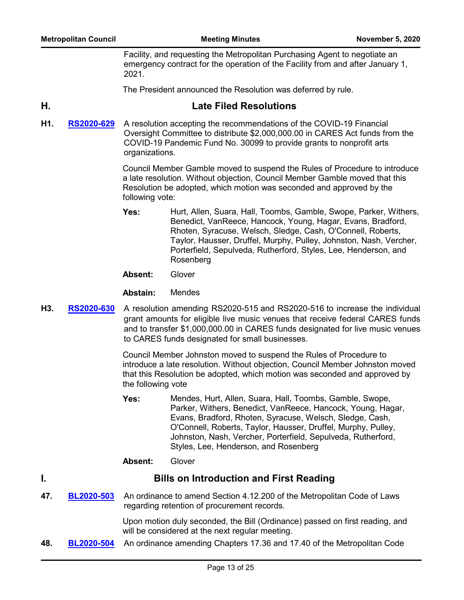Facility, and requesting the Metropolitan Purchasing Agent to negotiate an emergency contract for the operation of the Facility from and after January 1, 2021.

The President announced the Resolution was deferred by rule.

# **H. Late Filed Resolutions**

**H1. RS2020-629** A resolution accepting the recommendations of the COVID-19 Financial Oversight Committee to distribute \$2,000,000.00 in CARES Act funds from the COVID-19 Pandemic Fund No. 30099 to provide grants to nonprofit arts organizations. **[RS2020-629](http://nashville.legistar.com/gateway.aspx?m=l&id=/matter.aspx?key=1596)**

> Council Member Gamble moved to suspend the Rules of Procedure to introduce a late resolution. Without objection, Council Member Gamble moved that this Resolution be adopted, which motion was seconded and approved by the following vote:

- Hurt, Allen, Suara, Hall, Toombs, Gamble, Swope, Parker, Withers, Benedict, VanReece, Hancock, Young, Hagar, Evans, Bradford, Rhoten, Syracuse, Welsch, Sledge, Cash, O'Connell, Roberts, Taylor, Hausser, Druffel, Murphy, Pulley, Johnston, Nash, Vercher, Porterfield, Sepulveda, Rutherford, Styles, Lee, Henderson, and Rosenberg **Yes:**
- **Absent:** Glover
- **Abstain:** Mendes
- H3. RS2020-630 A resolution amending RS2020-515 and RS2020-516 to increase the individual grant amounts for eligible live music venues that receive federal CARES funds and to transfer \$1,000,000.00 in CARES funds designated for live music venues to CARES funds designated for small businesses. **[RS2020-630](http://nashville.legistar.com/gateway.aspx?m=l&id=/matter.aspx?key=1603)**

Council Member Johnston moved to suspend the Rules of Procedure to introduce a late resolution. Without objection, Council Member Johnston moved that this Resolution be adopted, which motion was seconded and approved by the following vote

Mendes, Hurt, Allen, Suara, Hall, Toombs, Gamble, Swope, Parker, Withers, Benedict, VanReece, Hancock, Young, Hagar, Evans, Bradford, Rhoten, Syracuse, Welsch, Sledge, Cash, O'Connell, Roberts, Taylor, Hausser, Druffel, Murphy, Pulley, Johnston, Nash, Vercher, Porterfield, Sepulveda, Rutherford, Styles, Lee, Henderson, and Rosenberg **Yes:**

### **Absent:** Glover

# **I. Bills on Introduction and First Reading**

47. BL2020-503 An ordinance to amend Section 4.12.200 of the Metropolitan Code of Laws regarding retention of procurement records. **[BL2020-503](http://nashville.legistar.com/gateway.aspx?m=l&id=/matter.aspx?key=1563)**

> Upon motion duly seconded, the Bill (Ordinance) passed on first reading, and will be considered at the next regular meeting.

**48. [BL2020-504](http://nashville.legistar.com/gateway.aspx?m=l&id=/matter.aspx?key=1593)** An ordinance amending Chapters 17.36 and 17.40 of the Metropolitan Code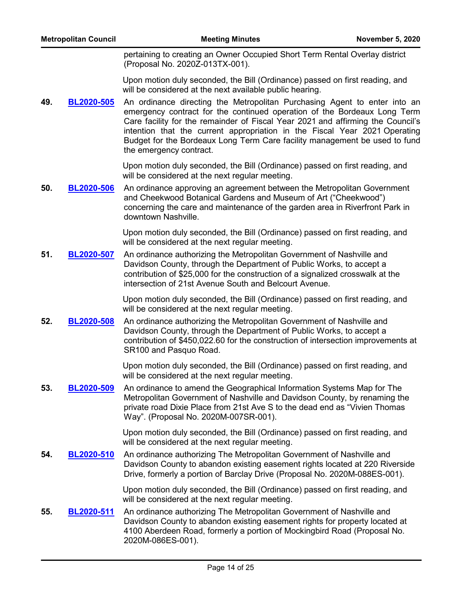pertaining to creating an Owner Occupied Short Term Rental Overlay district (Proposal No. 2020Z-013TX-001).

Upon motion duly seconded, the Bill (Ordinance) passed on first reading, and will be considered at the next available public hearing.

**49. BL2020-505** An ordinance directing the Metropolitan Purchasing Agent to enter into an emergency contract for the continued operation of the Bordeaux Long Term Care facility for the remainder of Fiscal Year 2021 and affirming the Council's intention that the current appropriation in the Fiscal Year 2021 Operating Budget for the Bordeaux Long Term Care facility management be used to fund the emergency contract. **[BL2020-505](http://nashville.legistar.com/gateway.aspx?m=l&id=/matter.aspx?key=1557)**

> Upon motion duly seconded, the Bill (Ordinance) passed on first reading, and will be considered at the next regular meeting.

**50. BL2020-506** An ordinance approving an agreement between the Metropolitan Government and Cheekwood Botanical Gardens and Museum of Art ("Cheekwood") concerning the care and maintenance of the garden area in Riverfront Park in downtown Nashville. **[BL2020-506](http://nashville.legistar.com/gateway.aspx?m=l&id=/matter.aspx?key=1549)**

> Upon motion duly seconded, the Bill (Ordinance) passed on first reading, and will be considered at the next regular meeting.

**51.** BL2020-507 An ordinance authorizing the Metropolitan Government of Nashville and Davidson County, through the Department of Public Works, to accept a contribution of \$25,000 for the construction of a signalized crosswalk at the intersection of 21st Avenue South and Belcourt Avenue. **[BL2020-507](http://nashville.legistar.com/gateway.aspx?m=l&id=/matter.aspx?key=1548)**

> Upon motion duly seconded, the Bill (Ordinance) passed on first reading, and will be considered at the next regular meeting.

**52. BL2020-508** An ordinance authorizing the Metropolitan Government of Nashville and Davidson County, through the Department of Public Works, to accept a contribution of \$450,022.60 for the construction of intersection improvements at SR100 and Pasquo Road. **[BL2020-508](http://nashville.legistar.com/gateway.aspx?m=l&id=/matter.aspx?key=1559)**

> Upon motion duly seconded, the Bill (Ordinance) passed on first reading, and will be considered at the next regular meeting.

**53.** BL2020-509 An ordinance to amend the Geographical Information Systems Map for The Metropolitan Government of Nashville and Davidson County, by renaming the private road Dixie Place from 21st Ave S to the dead end as "Vivien Thomas Way". (Proposal No. 2020M-007SR-001). **[BL2020-509](http://nashville.legistar.com/gateway.aspx?m=l&id=/matter.aspx?key=1558)**

> Upon motion duly seconded, the Bill (Ordinance) passed on first reading, and will be considered at the next regular meeting.

**54. BL2020-510** An ordinance authorizing The Metropolitan Government of Nashville and Davidson County to abandon existing easement rights located at 220 Riverside Drive, formerly a portion of Barclay Drive (Proposal No. 2020M-088ES-001). **[BL2020-510](http://nashville.legistar.com/gateway.aspx?m=l&id=/matter.aspx?key=1546)**

> Upon motion duly seconded, the Bill (Ordinance) passed on first reading, and will be considered at the next regular meeting.

55. BL2020-511 An ordinance authorizing The Metropolitan Government of Nashville and Davidson County to abandon existing easement rights for property located at 4100 Aberdeen Road, formerly a portion of Mockingbird Road (Proposal No. 2020M-086ES-001). **[BL2020-511](http://nashville.legistar.com/gateway.aspx?m=l&id=/matter.aspx?key=1561)**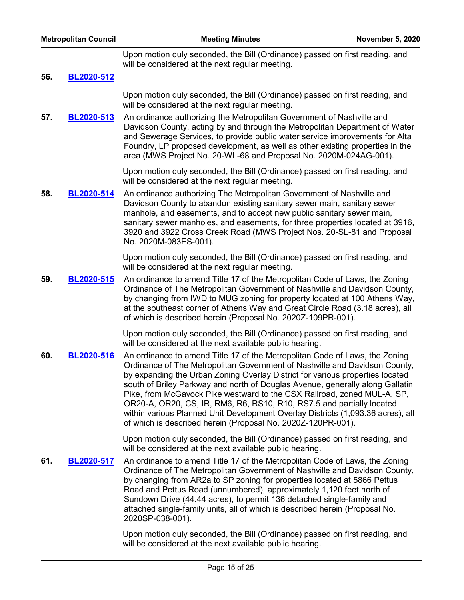Upon motion duly seconded, the Bill (Ordinance) passed on first reading, and will be considered at the next regular meeting.

**56. [BL2020-512](http://nashville.legistar.com/gateway.aspx?m=l&id=/matter.aspx?key=1538)**

Upon motion duly seconded, the Bill (Ordinance) passed on first reading, and will be considered at the next regular meeting.

**57. BL2020-513** An ordinance authorizing the Metropolitan Government of Nashville and Davidson County, acting by and through the Metropolitan Department of Water and Sewerage Services, to provide public water service improvements for Alta Foundry, LP proposed development, as well as other existing properties in the area (MWS Project No. 20-WL-68 and Proposal No. 2020M-024AG-001). **[BL2020-513](http://nashville.legistar.com/gateway.aspx?m=l&id=/matter.aspx?key=1542)**

> Upon motion duly seconded, the Bill (Ordinance) passed on first reading, and will be considered at the next regular meeting.

**58. BL2020-514** An ordinance authorizing The Metropolitan Government of Nashville and Davidson County to abandon existing sanitary sewer main, sanitary sewer manhole, and easements, and to accept new public sanitary sewer main, sanitary sewer manholes, and easements, for three properties located at 3916, 3920 and 3922 Cross Creek Road (MWS Project Nos. 20-SL-81 and Proposal No. 2020M-083ES-001). **[BL2020-514](http://nashville.legistar.com/gateway.aspx?m=l&id=/matter.aspx?key=1547)**

> Upon motion duly seconded, the Bill (Ordinance) passed on first reading, and will be considered at the next regular meeting.

**59. BL2020-515** An ordinance to amend Title 17 of the Metropolitan Code of Laws, the Zoning Ordinance of The Metropolitan Government of Nashville and Davidson County, by changing from IWD to MUG zoning for property located at 100 Athens Way, at the southeast corner of Athens Way and Great Circle Road (3.18 acres), all of which is described herein (Proposal No. 2020Z-109PR-001). **[BL2020-515](http://nashville.legistar.com/gateway.aspx?m=l&id=/matter.aspx?key=1569)**

> Upon motion duly seconded, the Bill (Ordinance) passed on first reading, and will be considered at the next available public hearing.

**60. BL2020-516** An ordinance to amend Title 17 of the Metropolitan Code of Laws, the Zoning Ordinance of The Metropolitan Government of Nashville and Davidson County, by expanding the Urban Zoning Overlay District for various properties located south of Briley Parkway and north of Douglas Avenue, generally along Gallatin Pike, from McGavock Pike westward to the CSX Railroad, zoned MUL-A, SP, OR20-A, OR20, CS, IR, RM6, R6, RS10, R10, RS7.5 and partially located within various Planned Unit Development Overlay Districts (1,093.36 acres), all of which is described herein (Proposal No. 2020Z-120PR-001). **[BL2020-516](http://nashville.legistar.com/gateway.aspx?m=l&id=/matter.aspx?key=1582)**

> Upon motion duly seconded, the Bill (Ordinance) passed on first reading, and will be considered at the next available public hearing.

**61.** BL2020-517 An ordinance to amend Title 17 of the Metropolitan Code of Laws, the Zoning Ordinance of The Metropolitan Government of Nashville and Davidson County, by changing from AR2a to SP zoning for properties located at 5866 Pettus Road and Pettus Road (unnumbered), approximately 1,120 feet north of Sundown Drive (44.44 acres), to permit 136 detached single-family and attached single-family units, all of which is described herein (Proposal No. 2020SP-038-001). **[BL2020-517](http://nashville.legistar.com/gateway.aspx?m=l&id=/matter.aspx?key=1567)**

> Upon motion duly seconded, the Bill (Ordinance) passed on first reading, and will be considered at the next available public hearing.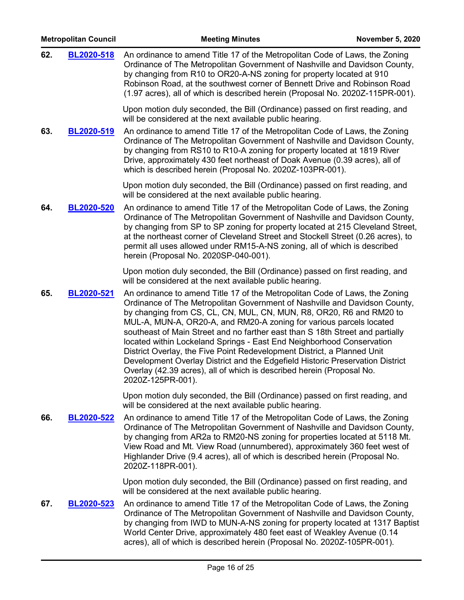|     | <b>Metropolitan Council</b> | <b>Meeting Minutes</b>                                                                                                                                                                                                                                                                                                                                                                                                                                                                                                                                                                                                                                                                                                      | <b>November 5, 2020</b> |
|-----|-----------------------------|-----------------------------------------------------------------------------------------------------------------------------------------------------------------------------------------------------------------------------------------------------------------------------------------------------------------------------------------------------------------------------------------------------------------------------------------------------------------------------------------------------------------------------------------------------------------------------------------------------------------------------------------------------------------------------------------------------------------------------|-------------------------|
| 62. | BL2020-518                  | An ordinance to amend Title 17 of the Metropolitan Code of Laws, the Zoning<br>Ordinance of The Metropolitan Government of Nashville and Davidson County,<br>by changing from R10 to OR20-A-NS zoning for property located at 910<br>Robinson Road, at the southwest corner of Bennett Drive and Robinson Road<br>(1.97 acres), all of which is described herein (Proposal No. 2020Z-115PR-001).                                                                                                                                                                                                                                                                                                                            |                         |
|     |                             | Upon motion duly seconded, the Bill (Ordinance) passed on first reading, and<br>will be considered at the next available public hearing.                                                                                                                                                                                                                                                                                                                                                                                                                                                                                                                                                                                    |                         |
| 63. | BL2020-519                  | An ordinance to amend Title 17 of the Metropolitan Code of Laws, the Zoning<br>Ordinance of The Metropolitan Government of Nashville and Davidson County,<br>by changing from RS10 to R10-A zoning for property located at 1819 River<br>Drive, approximately 430 feet northeast of Doak Avenue (0.39 acres), all of<br>which is described herein (Proposal No. 2020Z-103PR-001).                                                                                                                                                                                                                                                                                                                                           |                         |
|     |                             | Upon motion duly seconded, the Bill (Ordinance) passed on first reading, and<br>will be considered at the next available public hearing.                                                                                                                                                                                                                                                                                                                                                                                                                                                                                                                                                                                    |                         |
| 64. | BL2020-520                  | An ordinance to amend Title 17 of the Metropolitan Code of Laws, the Zoning<br>Ordinance of The Metropolitan Government of Nashville and Davidson County,<br>by changing from SP to SP zoning for property located at 215 Cleveland Street,<br>at the northeast corner of Cleveland Street and Stockell Street (0.26 acres), to<br>permit all uses allowed under RM15-A-NS zoning, all of which is described<br>herein (Proposal No. 2020SP-040-001).                                                                                                                                                                                                                                                                       |                         |
|     |                             | Upon motion duly seconded, the Bill (Ordinance) passed on first reading, and<br>will be considered at the next available public hearing.                                                                                                                                                                                                                                                                                                                                                                                                                                                                                                                                                                                    |                         |
| 65. | BL2020-521                  | An ordinance to amend Title 17 of the Metropolitan Code of Laws, the Zoning<br>Ordinance of The Metropolitan Government of Nashville and Davidson County,<br>by changing from CS, CL, CN, MUL, CN, MUN, R8, OR20, R6 and RM20 to<br>MUL-A, MUN-A, OR20-A, and RM20-A zoning for various parcels located<br>southeast of Main Street and no farther east than S 18th Street and partially<br>located within Lockeland Springs - East End Neighborhood Conservation<br>District Overlay, the Five Point Redevelopment District, a Planned Unit<br>Development Overlay District and the Edgefield Historic Preservation District<br>Overlay (42.39 acres), all of which is described herein (Proposal No.<br>2020Z-125PR-001). |                         |
|     |                             | Upon motion duly seconded, the Bill (Ordinance) passed on first reading, and<br>will be considered at the next available public hearing.                                                                                                                                                                                                                                                                                                                                                                                                                                                                                                                                                                                    |                         |
| 66. | <b>BL2020-522</b>           | An ordinance to amend Title 17 of the Metropolitan Code of Laws, the Zoning<br>Ordinance of The Metropolitan Government of Nashville and Davidson County,<br>by changing from AR2a to RM20-NS zoning for properties located at 5118 Mt.<br>View Road and Mt. View Road (unnumbered), approximately 360 feet west of<br>Highlander Drive (9.4 acres), all of which is described herein (Proposal No.<br>2020Z-118PR-001).                                                                                                                                                                                                                                                                                                    |                         |
|     |                             | Upon motion duly seconded, the Bill (Ordinance) passed on first reading, and<br>will be considered at the next available public hearing.                                                                                                                                                                                                                                                                                                                                                                                                                                                                                                                                                                                    |                         |
| 67. | BL2020-523                  | An ordinance to amend Title 17 of the Metropolitan Code of Laws, the Zoning<br>Ordinance of The Metropolitan Government of Nashville and Davidson County,<br>by changing from IWD to MUN-A-NS zoning for property located at 1317 Baptist<br>World Center Drive, approximately 480 feet east of Weakley Avenue (0.14<br>acres), all of which is described herein (Proposal No. 2020Z-105PR-001).                                                                                                                                                                                                                                                                                                                            |                         |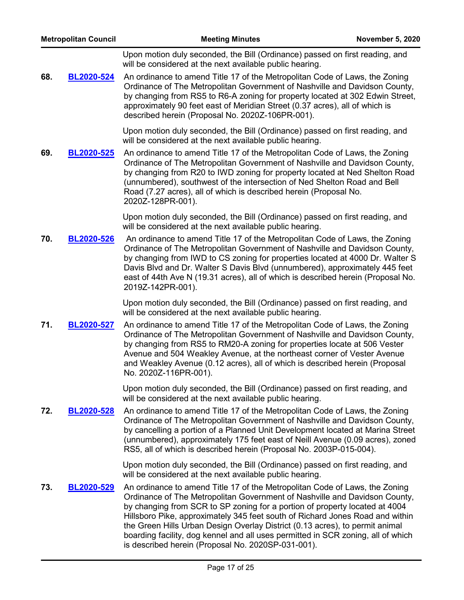|     | <b>Metropolitan Council</b> | <b>Meeting Minutes</b>                                                                                                                                                                                                                                                                                                                                                                                                                                                                                                                              | <b>November 5, 2020</b> |
|-----|-----------------------------|-----------------------------------------------------------------------------------------------------------------------------------------------------------------------------------------------------------------------------------------------------------------------------------------------------------------------------------------------------------------------------------------------------------------------------------------------------------------------------------------------------------------------------------------------------|-------------------------|
|     |                             | Upon motion duly seconded, the Bill (Ordinance) passed on first reading, and<br>will be considered at the next available public hearing.                                                                                                                                                                                                                                                                                                                                                                                                            |                         |
| 68. | BL2020-524                  | An ordinance to amend Title 17 of the Metropolitan Code of Laws, the Zoning<br>Ordinance of The Metropolitan Government of Nashville and Davidson County,<br>by changing from RS5 to R6-A zoning for property located at 302 Edwin Street,<br>approximately 90 feet east of Meridian Street (0.37 acres), all of which is<br>described herein (Proposal No. 2020Z-106PR-001).                                                                                                                                                                       |                         |
|     |                             | Upon motion duly seconded, the Bill (Ordinance) passed on first reading, and<br>will be considered at the next available public hearing.                                                                                                                                                                                                                                                                                                                                                                                                            |                         |
| 69. | <b>BL2020-525</b>           | An ordinance to amend Title 17 of the Metropolitan Code of Laws, the Zoning<br>Ordinance of The Metropolitan Government of Nashville and Davidson County,<br>by changing from R20 to IWD zoning for property located at Ned Shelton Road<br>(unnumbered), southwest of the intersection of Ned Shelton Road and Bell<br>Road (7.27 acres), all of which is described herein (Proposal No.<br>2020Z-128PR-001).                                                                                                                                      |                         |
|     |                             | Upon motion duly seconded, the Bill (Ordinance) passed on first reading, and<br>will be considered at the next available public hearing.                                                                                                                                                                                                                                                                                                                                                                                                            |                         |
| 70. | <b>BL2020-526</b>           | An ordinance to amend Title 17 of the Metropolitan Code of Laws, the Zoning<br>Ordinance of The Metropolitan Government of Nashville and Davidson County,<br>by changing from IWD to CS zoning for properties located at 4000 Dr. Walter S<br>Davis Blvd and Dr. Walter S Davis Blvd (unnumbered), approximately 445 feet<br>east of 44th Ave N (19.31 acres), all of which is described herein (Proposal No.<br>2019Z-142PR-001).                                                                                                                  |                         |
|     |                             | Upon motion duly seconded, the Bill (Ordinance) passed on first reading, and<br>will be considered at the next available public hearing.                                                                                                                                                                                                                                                                                                                                                                                                            |                         |
| 71. | BL2020-527                  | An ordinance to amend Title 17 of the Metropolitan Code of Laws, the Zoning<br>Ordinance of The Metropolitan Government of Nashville and Davidson County,<br>by changing from RS5 to RM20-A zoning for properties locate at 506 Vester<br>Avenue and 504 Weakley Avenue, at the northeast corner of Vester Avenue<br>and Weakley Avenue (0.12 acres), all of which is described herein (Proposal<br>No. 2020Z-116PR-001).                                                                                                                           |                         |
|     |                             | Upon motion duly seconded, the Bill (Ordinance) passed on first reading, and<br>will be considered at the next available public hearing.                                                                                                                                                                                                                                                                                                                                                                                                            |                         |
| 72. | BL2020-528                  | An ordinance to amend Title 17 of the Metropolitan Code of Laws, the Zoning<br>Ordinance of The Metropolitan Government of Nashville and Davidson County,<br>by cancelling a portion of a Planned Unit Development located at Marina Street<br>(unnumbered), approximately 175 feet east of Neill Avenue (0.09 acres), zoned<br>RS5, all of which is described herein (Proposal No. 2003P-015-004).                                                                                                                                                 |                         |
|     |                             | Upon motion duly seconded, the Bill (Ordinance) passed on first reading, and<br>will be considered at the next available public hearing.                                                                                                                                                                                                                                                                                                                                                                                                            |                         |
| 73. | BL2020-529                  | An ordinance to amend Title 17 of the Metropolitan Code of Laws, the Zoning<br>Ordinance of The Metropolitan Government of Nashville and Davidson County,<br>by changing from SCR to SP zoning for a portion of property located at 4004<br>Hillsboro Pike, approximately 345 feet south of Richard Jones Road and within<br>the Green Hills Urban Design Overlay District (0.13 acres), to permit animal<br>boarding facility, dog kennel and all uses permitted in SCR zoning, all of which<br>is described herein (Proposal No. 2020SP-031-001). |                         |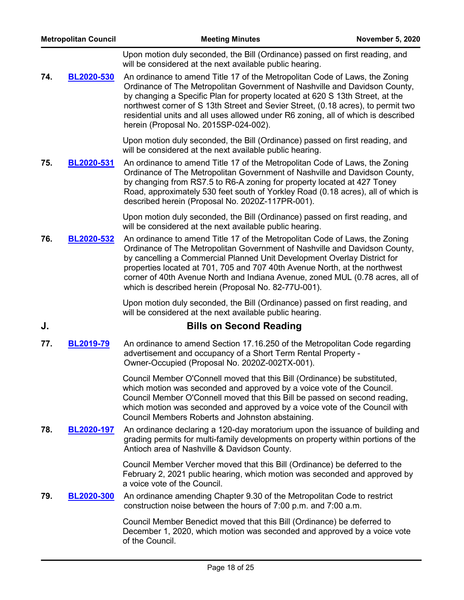|     | <b>Metropolitan Council</b> | <b>Meeting Minutes</b>                                                                                                                                                                                                                                                                                                                                                                                                                                       | <b>November 5, 2020</b> |
|-----|-----------------------------|--------------------------------------------------------------------------------------------------------------------------------------------------------------------------------------------------------------------------------------------------------------------------------------------------------------------------------------------------------------------------------------------------------------------------------------------------------------|-------------------------|
|     |                             | Upon motion duly seconded, the Bill (Ordinance) passed on first reading, and<br>will be considered at the next available public hearing.                                                                                                                                                                                                                                                                                                                     |                         |
| 74. | <b>BL2020-530</b>           | An ordinance to amend Title 17 of the Metropolitan Code of Laws, the Zoning<br>Ordinance of The Metropolitan Government of Nashville and Davidson County,<br>by changing a Specific Plan for property located at 620 S 13th Street, at the<br>northwest corner of S 13th Street and Sevier Street, (0.18 acres), to permit two<br>residential units and all uses allowed under R6 zoning, all of which is described<br>herein (Proposal No. 2015SP-024-002). |                         |
|     |                             | Upon motion duly seconded, the Bill (Ordinance) passed on first reading, and<br>will be considered at the next available public hearing.                                                                                                                                                                                                                                                                                                                     |                         |
| 75. | <b>BL2020-531</b>           | An ordinance to amend Title 17 of the Metropolitan Code of Laws, the Zoning<br>Ordinance of The Metropolitan Government of Nashville and Davidson County,<br>by changing from RS7.5 to R6-A zoning for property located at 427 Toney<br>Road, approximately 530 feet south of Yorkley Road (0.18 acres), all of which is<br>described herein (Proposal No. 2020Z-117PR-001).                                                                                 |                         |
|     |                             | Upon motion duly seconded, the Bill (Ordinance) passed on first reading, and<br>will be considered at the next available public hearing.                                                                                                                                                                                                                                                                                                                     |                         |
| 76. | <b>BL2020-532</b>           | An ordinance to amend Title 17 of the Metropolitan Code of Laws, the Zoning<br>Ordinance of The Metropolitan Government of Nashville and Davidson County,<br>by cancelling a Commercial Planned Unit Development Overlay District for<br>properties located at 701, 705 and 707 40th Avenue North, at the northwest<br>corner of 40th Avenue North and Indiana Avenue, zoned MUL (0.78 acres, all of<br>which is described herein (Proposal No. 82-77U-001). |                         |
|     |                             | Upon motion duly seconded, the Bill (Ordinance) passed on first reading, and<br>will be considered at the next available public hearing.                                                                                                                                                                                                                                                                                                                     |                         |
| J.  |                             | <b>Bills on Second Reading</b>                                                                                                                                                                                                                                                                                                                                                                                                                               |                         |
| 77. | <b>BL2019-79</b>            | An ordinance to amend Section 17.16.250 of the Metropolitan Code regarding<br>advertisement and occupancy of a Short Term Rental Property -<br>Owner-Occupied (Proposal No. 2020Z-002TX-001).                                                                                                                                                                                                                                                                |                         |
|     |                             | Council Member O'Connell moved that this Bill (Ordinance) be substituted,<br>which motion was seconded and approved by a voice vote of the Council.<br>Council Member O'Connell moved that this Bill be passed on second reading,<br>which motion was seconded and approved by a voice vote of the Council with<br>Council Members Roberts and Johnston abstaining.                                                                                          |                         |
| 78. | <b>BL2020-197</b>           | An ordinance declaring a 120-day moratorium upon the issuance of building and<br>grading permits for multi-family developments on property within portions of the<br>Antioch area of Nashville & Davidson County.                                                                                                                                                                                                                                            |                         |
|     |                             | Council Member Vercher moved that this Bill (Ordinance) be deferred to the<br>February 2, 2021 public hearing, which motion was seconded and approved by<br>a voice vote of the Council.                                                                                                                                                                                                                                                                     |                         |
| 79. | <b>BL2020-300</b>           | An ordinance amending Chapter 9.30 of the Metropolitan Code to restrict<br>construction noise between the hours of 7:00 p.m. and 7:00 a.m.                                                                                                                                                                                                                                                                                                                   |                         |
|     |                             | Council Member Benedict moved that this Bill (Ordinance) be deferred to<br>December 1, 2020, which motion was seconded and approved by a voice vote<br>of the Council.                                                                                                                                                                                                                                                                                       |                         |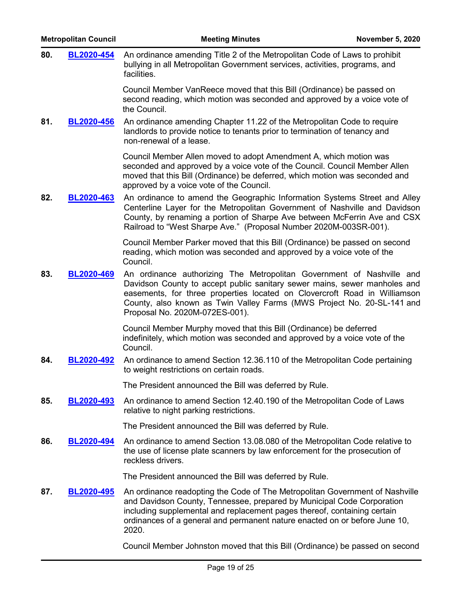|     | <b>Metropolitan Council</b> | <b>Meeting Minutes</b>                                                                                                                                                                                                                                                                                                                      | <b>November 5, 2020</b> |
|-----|-----------------------------|---------------------------------------------------------------------------------------------------------------------------------------------------------------------------------------------------------------------------------------------------------------------------------------------------------------------------------------------|-------------------------|
| 80. | BL2020-454                  | An ordinance amending Title 2 of the Metropolitan Code of Laws to prohibit<br>bullying in all Metropolitan Government services, activities, programs, and<br>facilities.                                                                                                                                                                    |                         |
|     |                             | Council Member VanReece moved that this Bill (Ordinance) be passed on<br>second reading, which motion was seconded and approved by a voice vote of<br>the Council.                                                                                                                                                                          |                         |
| 81. | <b>BL2020-456</b>           | An ordinance amending Chapter 11.22 of the Metropolitan Code to require<br>landlords to provide notice to tenants prior to termination of tenancy and<br>non-renewal of a lease.                                                                                                                                                            |                         |
|     |                             | Council Member Allen moved to adopt Amendment A, which motion was<br>seconded and approved by a voice vote of the Council. Council Member Allen<br>moved that this Bill (Ordinance) be deferred, which motion was seconded and<br>approved by a voice vote of the Council.                                                                  |                         |
| 82. | <b>BL2020-463</b>           | An ordinance to amend the Geographic Information Systems Street and Alley<br>Centerline Layer for the Metropolitan Government of Nashville and Davidson<br>County, by renaming a portion of Sharpe Ave between McFerrin Ave and CSX<br>Railroad to "West Sharpe Ave." (Proposal Number 2020M-003SR-001).                                    |                         |
|     |                             | Council Member Parker moved that this Bill (Ordinance) be passed on second<br>reading, which motion was seconded and approved by a voice vote of the<br>Council.                                                                                                                                                                            |                         |
| 83. | <b>BL2020-469</b>           | An ordinance authorizing The Metropolitan Government of Nashville and<br>Davidson County to accept public sanitary sewer mains, sewer manholes and<br>easements, for three properties located on Clovercroft Road in Williamson<br>County, also known as Twin Valley Farms (MWS Project No. 20-SL-141 and<br>Proposal No. 2020M-072ES-001). |                         |
|     |                             | Council Member Murphy moved that this Bill (Ordinance) be deferred<br>indefinitely, which motion was seconded and approved by a voice vote of the<br>Council.                                                                                                                                                                               |                         |
| 84. | <b>BL2020-492</b>           | An ordinance to amend Section 12.36.110 of the Metropolitan Code pertaining<br>to weight restrictions on certain roads.                                                                                                                                                                                                                     |                         |
|     |                             | The President announced the Bill was deferred by Rule.                                                                                                                                                                                                                                                                                      |                         |
| 85. | <b>BL2020-493</b>           | An ordinance to amend Section 12.40.190 of the Metropolitan Code of Laws<br>relative to night parking restrictions.                                                                                                                                                                                                                         |                         |
|     |                             | The President announced the Bill was deferred by Rule.                                                                                                                                                                                                                                                                                      |                         |
| 86. | BL2020-494                  | An ordinance to amend Section 13.08.080 of the Metropolitan Code relative to<br>the use of license plate scanners by law enforcement for the prosecution of<br>reckless drivers.                                                                                                                                                            |                         |
|     |                             | The President announced the Bill was deferred by Rule.                                                                                                                                                                                                                                                                                      |                         |
| 87. | BL2020-495                  | An ordinance readopting the Code of The Metropolitan Government of Nashville<br>and Davidson County, Tennessee, prepared by Municipal Code Corporation<br>including supplemental and replacement pages thereof, containing certain<br>ordinances of a general and permanent nature enacted on or before June 10,<br>2020.                   |                         |
|     |                             | Council Member Johnston moved that this Bill (Ordinance) be passed on second                                                                                                                                                                                                                                                                |                         |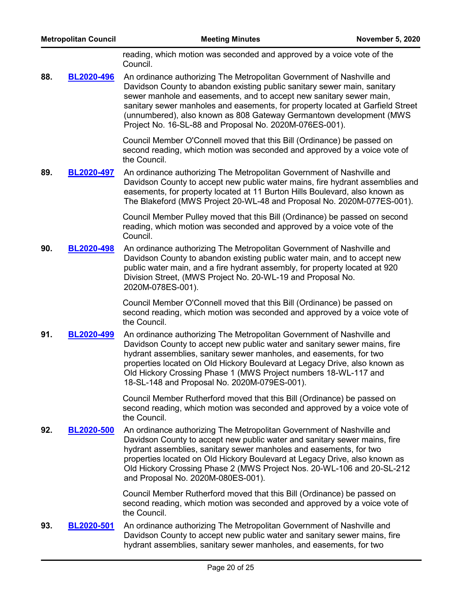reading, which motion was seconded and approved by a voice vote of the Council.

**88. BL2020-496** An ordinance authorizing The Metropolitan Government of Nashville and Davidson County to abandon existing public sanitary sewer main, sanitary sewer manhole and easements, and to accept new sanitary sewer main, sanitary sewer manholes and easements, for property located at Garfield Street (unnumbered), also known as 808 Gateway Germantown development (MWS Project No. 16-SL-88 and Proposal No. 2020M-076ES-001). **[BL2020-496](http://nashville.legistar.com/gateway.aspx?m=l&id=/matter.aspx?key=1502)**

> Council Member O'Connell moved that this Bill (Ordinance) be passed on second reading, which motion was seconded and approved by a voice vote of the Council.

**89. BL2020-497** An ordinance authorizing The Metropolitan Government of Nashville and Davidson County to accept new public water mains, fire hydrant assemblies and easements, for property located at 11 Burton Hills Boulevard, also known as The Blakeford (MWS Project 20-WL-48 and Proposal No. 2020M-077ES-001). **[BL2020-497](http://nashville.legistar.com/gateway.aspx?m=l&id=/matter.aspx?key=1504)**

> Council Member Pulley moved that this Bill (Ordinance) be passed on second reading, which motion was seconded and approved by a voice vote of the Council.

**90.** BL2020-498 An ordinance authorizing The Metropolitan Government of Nashville and Davidson County to abandon existing public water main, and to accept new public water main, and a fire hydrant assembly, for property located at 920 Division Street, (MWS Project No. 20-WL-19 and Proposal No. 2020M-078ES-001). **[BL2020-498](http://nashville.legistar.com/gateway.aspx?m=l&id=/matter.aspx?key=1505)**

> Council Member O'Connell moved that this Bill (Ordinance) be passed on second reading, which motion was seconded and approved by a voice vote of the Council.

**91. BL2020-499** An ordinance authorizing The Metropolitan Government of Nashville and Davidson County to accept new public water and sanitary sewer mains, fire hydrant assemblies, sanitary sewer manholes, and easements, for two properties located on Old Hickory Boulevard at Legacy Drive, also known as Old Hickory Crossing Phase 1 (MWS Project numbers 18-WL-117 and 18-SL-148 and Proposal No. 2020M-079ES-001). **[BL2020-499](http://nashville.legistar.com/gateway.aspx?m=l&id=/matter.aspx?key=1506)**

> Council Member Rutherford moved that this Bill (Ordinance) be passed on second reading, which motion was seconded and approved by a voice vote of the Council.

**92. BL2020-500** An ordinance authorizing The Metropolitan Government of Nashville and Davidson County to accept new public water and sanitary sewer mains, fire hydrant assemblies, sanitary sewer manholes and easements, for two properties located on Old Hickory Boulevard at Legacy Drive, also known as Old Hickory Crossing Phase 2 (MWS Project Nos. 20-WL-106 and 20-SL-212 and Proposal No. 2020M-080ES-001). **[BL2020-500](http://nashville.legistar.com/gateway.aspx?m=l&id=/matter.aspx?key=1507)**

> Council Member Rutherford moved that this Bill (Ordinance) be passed on second reading, which motion was seconded and approved by a voice vote of the Council.

**93.** BL2020-501 An ordinance authorizing The Metropolitan Government of Nashville and Davidson County to accept new public water and sanitary sewer mains, fire hydrant assemblies, sanitary sewer manholes, and easements, for two **[BL2020-501](http://nashville.legistar.com/gateway.aspx?m=l&id=/matter.aspx?key=1508)**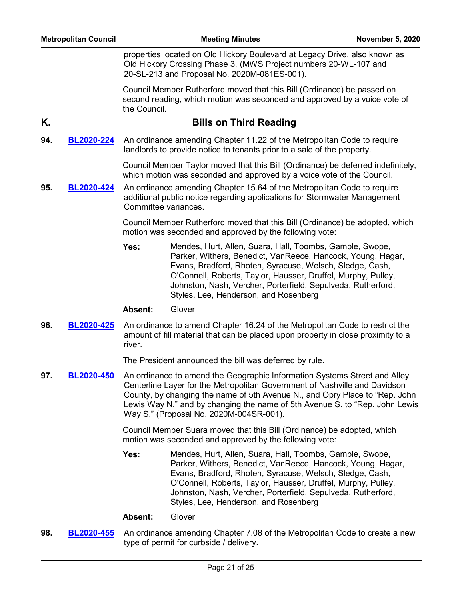| <b>Metropolitan Council</b> |                   | <b>Meeting Minutes</b>                                                                                                                                                                         |                                                                                                                                                                                                                                                                                                                                                                  | <b>November 5, 2020</b> |
|-----------------------------|-------------------|------------------------------------------------------------------------------------------------------------------------------------------------------------------------------------------------|------------------------------------------------------------------------------------------------------------------------------------------------------------------------------------------------------------------------------------------------------------------------------------------------------------------------------------------------------------------|-------------------------|
|                             |                   | properties located on Old Hickory Boulevard at Legacy Drive, also known as<br>Old Hickory Crossing Phase 3, (MWS Project numbers 20-WL-107 and<br>20-SL-213 and Proposal No. 2020M-081ES-001). |                                                                                                                                                                                                                                                                                                                                                                  |                         |
|                             |                   | the Council.                                                                                                                                                                                   | Council Member Rutherford moved that this Bill (Ordinance) be passed on<br>second reading, which motion was seconded and approved by a voice vote of                                                                                                                                                                                                             |                         |
| K.                          |                   |                                                                                                                                                                                                | <b>Bills on Third Reading</b>                                                                                                                                                                                                                                                                                                                                    |                         |
| 94.                         | <b>BL2020-224</b> |                                                                                                                                                                                                | An ordinance amending Chapter 11.22 of the Metropolitan Code to require<br>landlords to provide notice to tenants prior to a sale of the property.                                                                                                                                                                                                               |                         |
| 95.                         | BL2020-424        |                                                                                                                                                                                                | Council Member Taylor moved that this Bill (Ordinance) be deferred indefinitely,<br>which motion was seconded and approved by a voice vote of the Council.<br>An ordinance amending Chapter 15.64 of the Metropolitan Code to require<br>additional public notice regarding applications for Stormwater Management<br>Committee variances.                       |                         |
|                             |                   |                                                                                                                                                                                                | Council Member Rutherford moved that this Bill (Ordinance) be adopted, which<br>motion was seconded and approved by the following vote:                                                                                                                                                                                                                          |                         |
|                             |                   | Yes:                                                                                                                                                                                           | Mendes, Hurt, Allen, Suara, Hall, Toombs, Gamble, Swope,<br>Parker, Withers, Benedict, VanReece, Hancock, Young, Hagar,<br>Evans, Bradford, Rhoten, Syracuse, Welsch, Sledge, Cash,<br>O'Connell, Roberts, Taylor, Hausser, Druffel, Murphy, Pulley,<br>Johnston, Nash, Vercher, Porterfield, Sepulveda, Rutherford,<br>Styles, Lee, Henderson, and Rosenberg    |                         |
|                             |                   | <b>Absent:</b>                                                                                                                                                                                 | Glover                                                                                                                                                                                                                                                                                                                                                           |                         |
| 96.                         | <b>BL2020-425</b> | river.                                                                                                                                                                                         | An ordinance to amend Chapter 16.24 of the Metropolitan Code to restrict the<br>amount of fill material that can be placed upon property in close proximity to a                                                                                                                                                                                                 |                         |
|                             |                   | The President announced the bill was deferred by rule.                                                                                                                                         |                                                                                                                                                                                                                                                                                                                                                                  |                         |
| 97.                         | <b>BL2020-450</b> |                                                                                                                                                                                                | An ordinance to amend the Geographic Information Systems Street and Alley<br>Centerline Layer for the Metropolitan Government of Nashville and Davidson<br>County, by changing the name of 5th Avenue N., and Opry Place to "Rep. John<br>Lewis Way N." and by changing the name of 5th Avenue S. to "Rep. John Lewis<br>Way S." (Proposal No. 2020M-004SR-001). |                         |
|                             |                   | motion was seconded and approved by the following vote:                                                                                                                                        | Council Member Suara moved that this Bill (Ordinance) be adopted, which                                                                                                                                                                                                                                                                                          |                         |
|                             |                   | Yes:                                                                                                                                                                                           | Mendes, Hurt, Allen, Suara, Hall, Toombs, Gamble, Swope,<br>Parker, Withers, Benedict, VanReece, Hancock, Young, Hagar,<br>Evans, Bradford, Rhoten, Syracuse, Welsch, Sledge, Cash,<br>O'Connell, Roberts, Taylor, Hausser, Druffel, Murphy, Pulley,<br>Johnston, Nash, Vercher, Porterfield, Sepulveda, Rutherford,<br>Styles, Lee, Henderson, and Rosenberg    |                         |

### **Absent:** Glover

**98.** BL2020-455 An ordinance amending Chapter 7.08 of the Metropolitan Code to create a new type of permit for curbside / delivery. **[BL2020-455](http://nashville.legistar.com/gateway.aspx?m=l&id=/matter.aspx?key=1427)**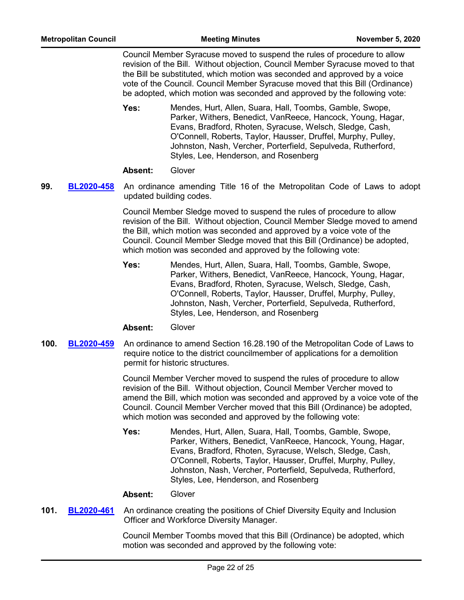Council Member Syracuse moved to suspend the rules of procedure to allow revision of the Bill. Without objection, Council Member Syracuse moved to that the Bill be substituted, which motion was seconded and approved by a voice vote of the Council. Council Member Syracuse moved that this Bill (Ordinance) be adopted, which motion was seconded and approved by the following vote:

Mendes, Hurt, Allen, Suara, Hall, Toombs, Gamble, Swope, Parker, Withers, Benedict, VanReece, Hancock, Young, Hagar, Evans, Bradford, Rhoten, Syracuse, Welsch, Sledge, Cash, O'Connell, Roberts, Taylor, Hausser, Druffel, Murphy, Pulley, Johnston, Nash, Vercher, Porterfield, Sepulveda, Rutherford, Styles, Lee, Henderson, and Rosenberg **Yes:**

### **Absent:** Glover

**99. BL2020-458** An ordinance amending Title 16 of the Metropolitan Code of Laws to adopt updated building codes. **[BL2020-458](http://nashville.legistar.com/gateway.aspx?m=l&id=/matter.aspx?key=1415)**

> Council Member Sledge moved to suspend the rules of procedure to allow revision of the Bill. Without objection, Council Member Sledge moved to amend the Bill, which motion was seconded and approved by a voice vote of the Council. Council Member Sledge moved that this Bill (Ordinance) be adopted, which motion was seconded and approved by the following vote:

Mendes, Hurt, Allen, Suara, Hall, Toombs, Gamble, Swope, Parker, Withers, Benedict, VanReece, Hancock, Young, Hagar, Evans, Bradford, Rhoten, Syracuse, Welsch, Sledge, Cash, O'Connell, Roberts, Taylor, Hausser, Druffel, Murphy, Pulley, Johnston, Nash, Vercher, Porterfield, Sepulveda, Rutherford, Styles, Lee, Henderson, and Rosenberg **Yes:**

### **Absent:** Glover

**100. BL2020-459** An ordinance to amend Section 16.28.190 of the Metropolitan Code of Laws to require notice to the district councilmember of applications for a demolition permit for historic structures. **[BL2020-459](http://nashville.legistar.com/gateway.aspx?m=l&id=/matter.aspx?key=1416)**

> Council Member Vercher moved to suspend the rules of procedure to allow revision of the Bill. Without objection, Council Member Vercher moved to amend the Bill, which motion was seconded and approved by a voice vote of the Council. Council Member Vercher moved that this Bill (Ordinance) be adopted, which motion was seconded and approved by the following vote:

Mendes, Hurt, Allen, Suara, Hall, Toombs, Gamble, Swope, Parker, Withers, Benedict, VanReece, Hancock, Young, Hagar, Evans, Bradford, Rhoten, Syracuse, Welsch, Sledge, Cash, O'Connell, Roberts, Taylor, Hausser, Druffel, Murphy, Pulley, Johnston, Nash, Vercher, Porterfield, Sepulveda, Rutherford, Styles, Lee, Henderson, and Rosenberg **Yes:**

### **Absent:** Glover

**101.** BL2020-461 An ordinance creating the positions of Chief Diversity Equity and Inclusion Officer and Workforce Diversity Manager. **[BL2020-461](http://nashville.legistar.com/gateway.aspx?m=l&id=/matter.aspx?key=1386)**

> Council Member Toombs moved that this Bill (Ordinance) be adopted, which motion was seconded and approved by the following vote: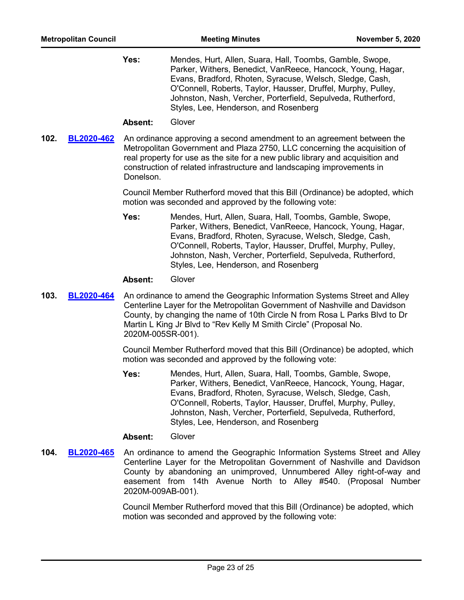Mendes, Hurt, Allen, Suara, Hall, Toombs, Gamble, Swope, Parker, Withers, Benedict, VanReece, Hancock, Young, Hagar, Evans, Bradford, Rhoten, Syracuse, Welsch, Sledge, Cash, O'Connell, Roberts, Taylor, Hausser, Druffel, Murphy, Pulley, Johnston, Nash, Vercher, Porterfield, Sepulveda, Rutherford, Styles, Lee, Henderson, and Rosenberg **Yes:**

### **Absent:** Glover

**102. BL2020-462** An ordinance approving a second amendment to an agreement between the Metropolitan Government and Plaza 2750, LLC concerning the acquisition of real property for use as the site for a new public library and acquisition and construction of related infrastructure and landscaping improvements in Donelson. **[BL2020-462](http://nashville.legistar.com/gateway.aspx?m=l&id=/matter.aspx?key=1399)**

> Council Member Rutherford moved that this Bill (Ordinance) be adopted, which motion was seconded and approved by the following vote:

Mendes, Hurt, Allen, Suara, Hall, Toombs, Gamble, Swope, Parker, Withers, Benedict, VanReece, Hancock, Young, Hagar, Evans, Bradford, Rhoten, Syracuse, Welsch, Sledge, Cash, O'Connell, Roberts, Taylor, Hausser, Druffel, Murphy, Pulley, Johnston, Nash, Vercher, Porterfield, Sepulveda, Rutherford, Styles, Lee, Henderson, and Rosenberg **Yes:**

### **Absent:** Glover

**103.** BL2020-464 An ordinance to amend the Geographic Information Systems Street and Alley Centerline Layer for the Metropolitan Government of Nashville and Davidson County, by changing the name of 10th Circle N from Rosa L Parks Blvd to Dr Martin L King Jr Blvd to "Rev Kelly M Smith Circle" (Proposal No. 2020M-005SR-001). **[BL2020-464](http://nashville.legistar.com/gateway.aspx?m=l&id=/matter.aspx?key=1381)**

> Council Member Rutherford moved that this Bill (Ordinance) be adopted, which motion was seconded and approved by the following vote:

Mendes, Hurt, Allen, Suara, Hall, Toombs, Gamble, Swope, Parker, Withers, Benedict, VanReece, Hancock, Young, Hagar, Evans, Bradford, Rhoten, Syracuse, Welsch, Sledge, Cash, O'Connell, Roberts, Taylor, Hausser, Druffel, Murphy, Pulley, Johnston, Nash, Vercher, Porterfield, Sepulveda, Rutherford, Styles, Lee, Henderson, and Rosenberg **Yes:**

### **Absent:** Glover

**104. <u>BL2020-465</u>** An ordinance to amend the Geographic Information Systems Street and Alley Centerline Layer for the Metropolitan Government of Nashville and Davidson County by abandoning an unimproved, Unnumbered Alley right-of-way and easement from 14th Avenue North to Alley #540. (Proposal Number 2020M-009AB-001). **[BL2020-465](http://nashville.legistar.com/gateway.aspx?m=l&id=/matter.aspx?key=1398)**

> Council Member Rutherford moved that this Bill (Ordinance) be adopted, which motion was seconded and approved by the following vote: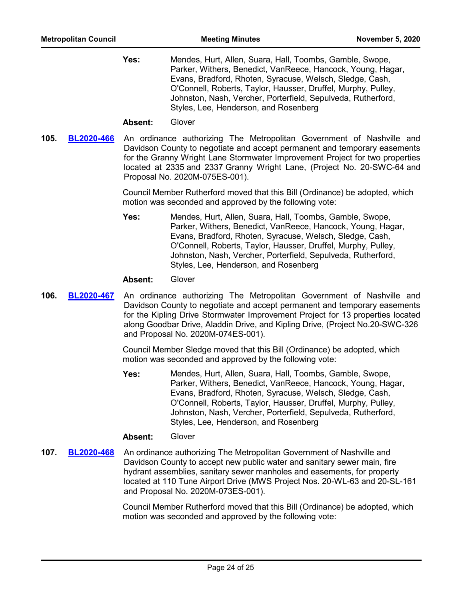Mendes, Hurt, Allen, Suara, Hall, Toombs, Gamble, Swope, Parker, Withers, Benedict, VanReece, Hancock, Young, Hagar, Evans, Bradford, Rhoten, Syracuse, Welsch, Sledge, Cash, O'Connell, Roberts, Taylor, Hausser, Druffel, Murphy, Pulley, Johnston, Nash, Vercher, Porterfield, Sepulveda, Rutherford, Styles, Lee, Henderson, and Rosenberg **Yes:**

### **Absent:** Glover

**105. BL2020-466** An ordinance authorizing The Metropolitan Government of Nashville and Davidson County to negotiate and accept permanent and temporary easements for the Granny Wright Lane Stormwater Improvement Project for two properties located at 2335 and 2337 Granny Wright Lane, (Project No. 20-SWC-64 and Proposal No. 2020M-075ES-001). **[BL2020-466](http://nashville.legistar.com/gateway.aspx?m=l&id=/matter.aspx?key=1376)**

> Council Member Rutherford moved that this Bill (Ordinance) be adopted, which motion was seconded and approved by the following vote:

Mendes, Hurt, Allen, Suara, Hall, Toombs, Gamble, Swope, Parker, Withers, Benedict, VanReece, Hancock, Young, Hagar, Evans, Bradford, Rhoten, Syracuse, Welsch, Sledge, Cash, O'Connell, Roberts, Taylor, Hausser, Druffel, Murphy, Pulley, Johnston, Nash, Vercher, Porterfield, Sepulveda, Rutherford, Styles, Lee, Henderson, and Rosenberg **Yes:**

### **Absent:** Glover

**106. BL2020-467** An ordinance authorizing The Metropolitan Government of Nashville and Davidson County to negotiate and accept permanent and temporary easements for the Kipling Drive Stormwater Improvement Project for 13 properties located along Goodbar Drive, Aladdin Drive, and Kipling Drive, (Project No.20-SWC-326 and Proposal No. 2020M-074ES-001). **[BL2020-467](http://nashville.legistar.com/gateway.aspx?m=l&id=/matter.aspx?key=1378)**

> Council Member Sledge moved that this Bill (Ordinance) be adopted, which motion was seconded and approved by the following vote:

Mendes, Hurt, Allen, Suara, Hall, Toombs, Gamble, Swope, Parker, Withers, Benedict, VanReece, Hancock, Young, Hagar, Evans, Bradford, Rhoten, Syracuse, Welsch, Sledge, Cash, O'Connell, Roberts, Taylor, Hausser, Druffel, Murphy, Pulley, Johnston, Nash, Vercher, Porterfield, Sepulveda, Rutherford, Styles, Lee, Henderson, and Rosenberg **Yes:**

### **Absent:** Glover

107. BL2020-468 An ordinance authorizing The Metropolitan Government of Nashville and Davidson County to accept new public water and sanitary sewer main, fire hydrant assemblies, sanitary sewer manholes and easements, for property located at 110 Tune Airport Drive (MWS Project Nos. 20-WL-63 and 20-SL-161 and Proposal No. 2020M-073ES-001). **[BL2020-468](http://nashville.legistar.com/gateway.aspx?m=l&id=/matter.aspx?key=1377)**

> Council Member Rutherford moved that this Bill (Ordinance) be adopted, which motion was seconded and approved by the following vote: